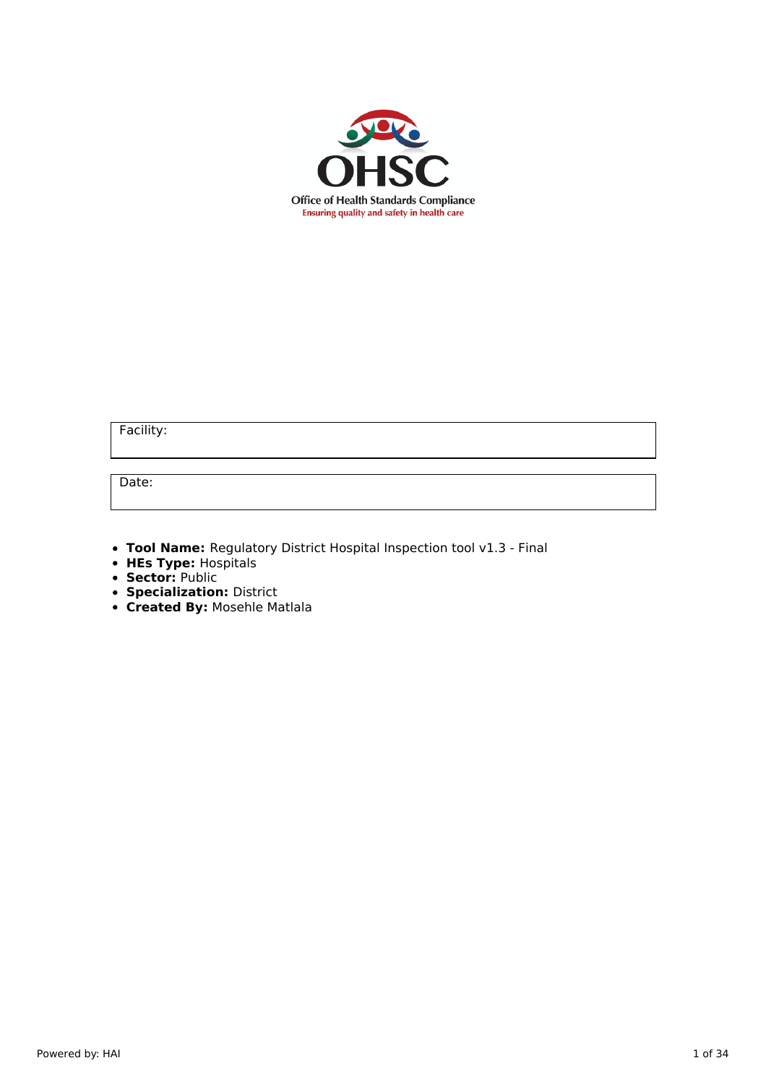

Facility:

Date:

**Tool Name:** Regulatory District Hospital Inspection tool v1.3 - Final

- **HEs Type:** Hospitals
- **Sector:** Public
- **Specialization:** District
- **Created By:** Mosehle Matlala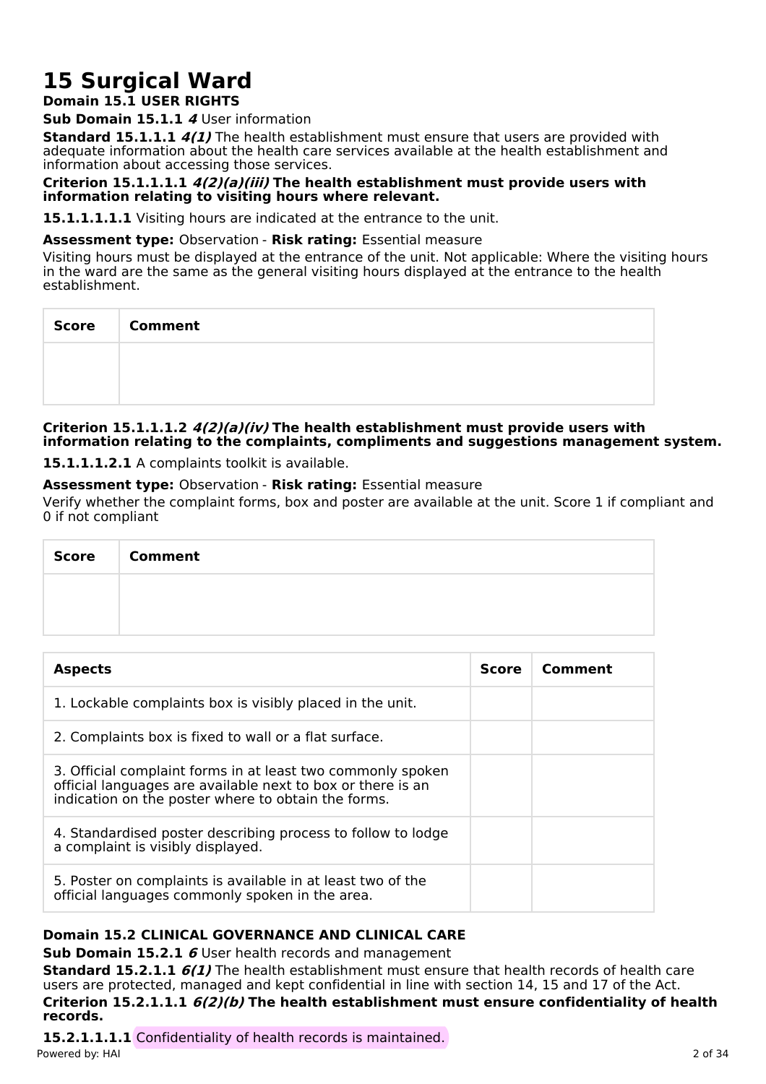# **15 Surgical Ward**

# **Domain 15.1 USER RIGHTS**

**Sub Domain 15.1.1 4** User information

**Standard 15.1.1.1 4(1)** The health establishment must ensure that users are provided with adequate information about the health care services available at the health establishment and information about accessing those services.

### **Criterion 15.1.1.1.1 4(2)(a)(iii) The health establishment must provide users with information relating to visiting hours where relevant.**

**15.1.1.1.1.1** Visiting hours are indicated at the entrance to the unit.

### **Assessment type:** Observation - **Risk rating:** Essential measure

Visiting hours must be displayed at the entrance of the unit. Not applicable: Where the visiting hours in the ward are the same as the general visiting hours displayed at the entrance to the health establishment.

| Score   Comment |
|-----------------|
|                 |
|                 |

### **Criterion 15.1.1.1.2 4(2)(a)(iv) The health establishment must provide users with information relating to the complaints, compliments and suggestions management system.**

**15.1.1.1.2.1** A complaints toolkit is available.

# **Assessment type:** Observation - **Risk rating:** Essential measure

Verify whether the complaint forms, box and poster are available at the unit. Score 1 if compliant and 0 if not compliant

| Score   Comment |
|-----------------|
|                 |
|                 |

| <b>Aspects</b>                                                                                                                                                                    | <b>Score</b> | Comment |
|-----------------------------------------------------------------------------------------------------------------------------------------------------------------------------------|--------------|---------|
| 1. Lockable complaints box is visibly placed in the unit.                                                                                                                         |              |         |
| 2. Complaints box is fixed to wall or a flat surface.                                                                                                                             |              |         |
| 3. Official complaint forms in at least two commonly spoken<br>official languages are available next to box or there is an<br>indication on the poster where to obtain the forms. |              |         |
| 4. Standardised poster describing process to follow to lodge<br>a complaint is visibly displayed.                                                                                 |              |         |
| 5. Poster on complaints is available in at least two of the<br>official languages commonly spoken in the area.                                                                    |              |         |

# **Domain 15.2 CLINICAL GOVERNANCE AND CLINICAL CARE**

**Sub Domain 15.2.1 6** User health records and management

**Standard 15.2.1.1 6(1)** The health establishment must ensure that health records of health care users are protected, managed and kept confidential in line with section 14, 15 and 17 of the Act. **Criterion 15.2.1.1.1 6(2)(b) The health establishment must ensure confidentiality of health records.**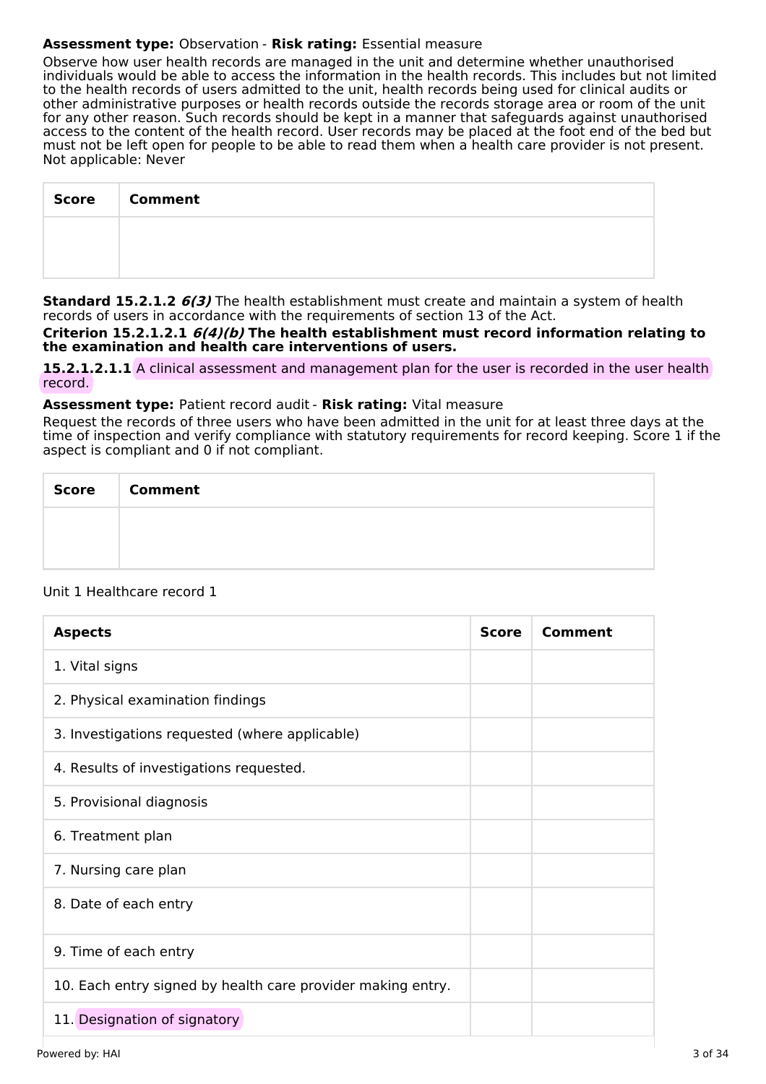# **Assessment type:** Observation - **Risk rating:** Essential measure

Observe how user health records are managed in the unit and determine whether unauthorised individuals would be able to access the information in the health records. This includes but not limited to the health records of users admitted to the unit, health records being used for clinical audits or other administrative purposes or health records outside the records storage area or room of the unit for any other reason. Such records should be kept in a manner that safeguards against unauthorised access to the content of the health record. User records may be placed at the foot end of the bed but must not be left open for people to be able to read them when a health care provider is not present. Not applicable: Never

| <b>Score</b> | <b>Comment</b> |
|--------------|----------------|
|              |                |
|              |                |

**Standard 15.2.1.2 6(3)** The health establishment must create and maintain a system of health records of users in accordance with the requirements of section 13 of the Act.

**Criterion 15.2.1.2.1 6(4)(b) The health establishment must record information relating to the examination and health care interventions of users.**

**15.2.1.2.1.1** A clinical assessment and management plan for the user is recorded in the user health record.

### **Assessment type:** Patient record audit - **Risk rating:** Vital measure

Request the records of three users who have been admitted in the unit for at least three days at the time of inspection and verify compliance with statutory requirements for record keeping. Score 1 if the aspect is compliant and 0 if not compliant.

| <b>Score</b> | <b>Comment</b> |
|--------------|----------------|
|              |                |
|              |                |

# Unit 1 Healthcare record 1

| <b>Aspects</b>                                              | <b>Score</b> | Comment |
|-------------------------------------------------------------|--------------|---------|
| 1. Vital signs                                              |              |         |
| 2. Physical examination findings                            |              |         |
| 3. Investigations requested (where applicable)              |              |         |
| 4. Results of investigations requested.                     |              |         |
| 5. Provisional diagnosis                                    |              |         |
| 6. Treatment plan                                           |              |         |
| 7. Nursing care plan                                        |              |         |
| 8. Date of each entry                                       |              |         |
| 9. Time of each entry                                       |              |         |
| 10. Each entry signed by health care provider making entry. |              |         |
| 11. Designation of signatory                                |              |         |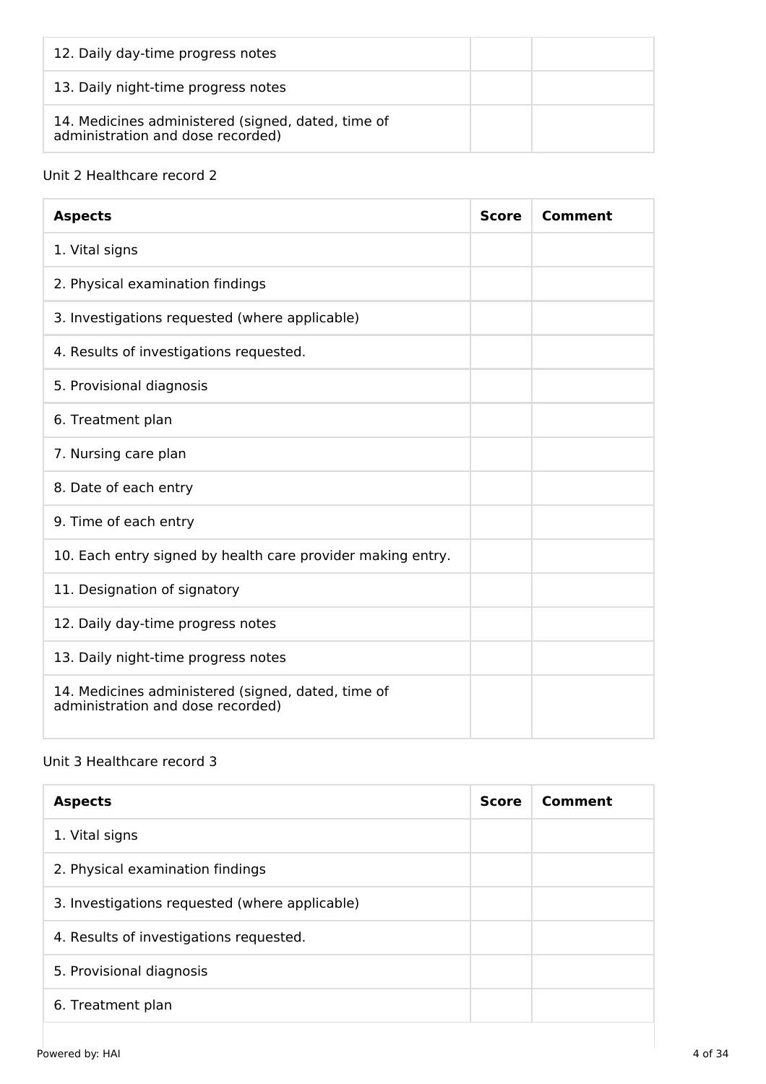| 12. Daily day-time progress notes                                                       |  |
|-----------------------------------------------------------------------------------------|--|
| 13. Daily night-time progress notes                                                     |  |
| 14. Medicines administered (signed, dated, time of<br>administration and dose recorded) |  |

# Unit 2 Healthcare record 2

| <b>Aspects</b>                                                                          | <b>Score</b> | Comment |
|-----------------------------------------------------------------------------------------|--------------|---------|
| 1. Vital signs                                                                          |              |         |
| 2. Physical examination findings                                                        |              |         |
| 3. Investigations requested (where applicable)                                          |              |         |
| 4. Results of investigations requested.                                                 |              |         |
| 5. Provisional diagnosis                                                                |              |         |
| 6. Treatment plan                                                                       |              |         |
| 7. Nursing care plan                                                                    |              |         |
| 8. Date of each entry                                                                   |              |         |
| 9. Time of each entry                                                                   |              |         |
| 10. Each entry signed by health care provider making entry.                             |              |         |
| 11. Designation of signatory                                                            |              |         |
| 12. Daily day-time progress notes                                                       |              |         |
| 13. Daily night-time progress notes                                                     |              |         |
| 14. Medicines administered (signed, dated, time of<br>administration and dose recorded) |              |         |

# Unit 3 Healthcare record 3

| <b>Aspects</b>                                 | <b>Score</b> | Comment |
|------------------------------------------------|--------------|---------|
| 1. Vital signs                                 |              |         |
| 2. Physical examination findings               |              |         |
| 3. Investigations requested (where applicable) |              |         |
| 4. Results of investigations requested.        |              |         |
| 5. Provisional diagnosis                       |              |         |
| 6. Treatment plan                              |              |         |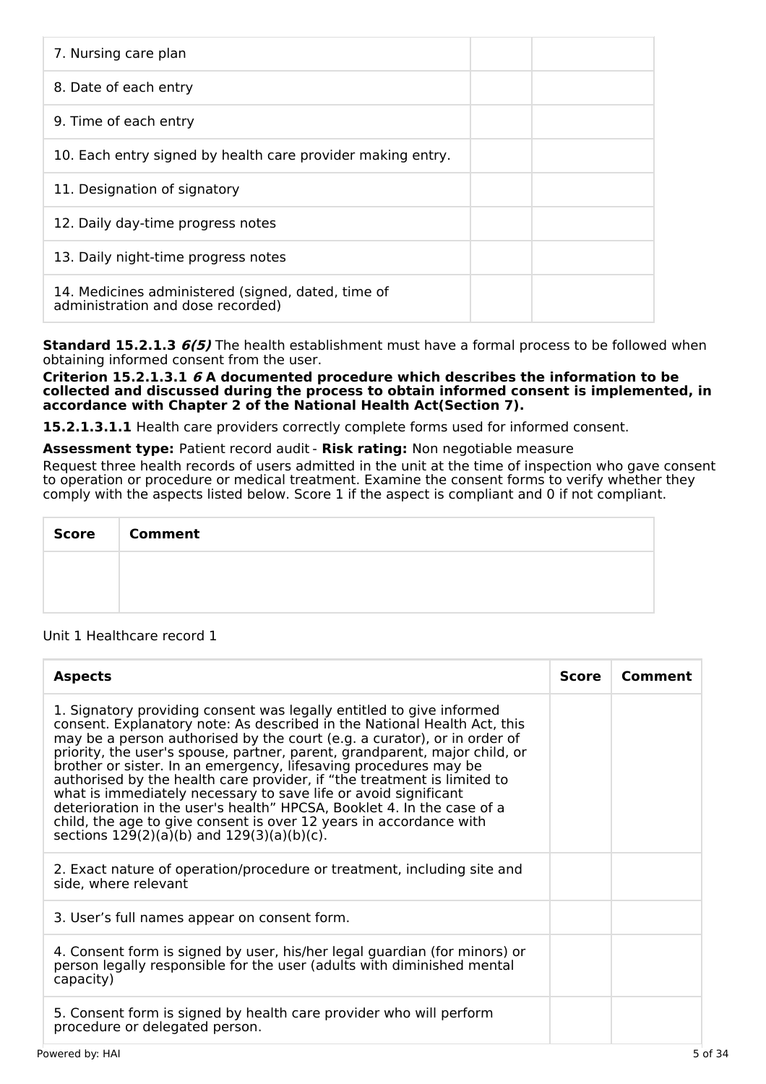| 7. Nursing care plan                                                                    |
|-----------------------------------------------------------------------------------------|
| 8. Date of each entry                                                                   |
| 9. Time of each entry                                                                   |
| 10. Each entry signed by health care provider making entry.                             |
| 11. Designation of signatory                                                            |
| 12. Daily day-time progress notes                                                       |
| 13. Daily night-time progress notes                                                     |
| 14. Medicines administered (signed, dated, time of<br>administration and dose recorded) |

**Standard 15.2.1.3 6(5)** The health establishment must have a formal process to be followed when obtaining informed consent from the user.

**Criterion 15.2.1.3.1 6 A documented procedure which describes the information to be collected and discussed during the process to obtain informed consent is implemented, in accordance with Chapter 2 of the National Health Act(Section 7).**

15.2.1.3.1.1 Health care providers correctly complete forms used for informed consent.

**Assessment type:** Patient record audit - **Risk rating:** Non negotiable measure

Request three health records of users admitted in the unit at the time of inspection who gave consent to operation or procedure or medical treatment. Examine the consent forms to verify whether they comply with the aspects listed below. Score 1 if the aspect is compliant and 0 if not compliant.

| <b>Score</b> | <b>Comment</b> |
|--------------|----------------|
|              |                |
|              |                |

Unit 1 Healthcare record 1

| <b>Aspects</b>                                                                                                                                                                                                                                                                                                                                                                                                                                                                                                                                                                                                                                                                                                                  | <b>Score</b> | Comment |
|---------------------------------------------------------------------------------------------------------------------------------------------------------------------------------------------------------------------------------------------------------------------------------------------------------------------------------------------------------------------------------------------------------------------------------------------------------------------------------------------------------------------------------------------------------------------------------------------------------------------------------------------------------------------------------------------------------------------------------|--------------|---------|
| 1. Signatory providing consent was legally entitled to give informed<br>consent. Explanatory note: As described in the National Health Act, this<br>may be a person authorised by the court (e.g. a curator), or in order of<br>priority, the user's spouse, partner, parent, grandparent, major child, or<br>brother or sister. In an emergency, lifesaving procedures may be<br>authorised by the health care provider, if "the treatment is limited to<br>what is immediately necessary to save life or avoid significant<br>deterioration in the user's health" HPCSA, Booklet 4. In the case of a<br>child, the age to give consent is over 12 years in accordance with<br>sections $129(2)(a)(b)$ and $129(3)(a)(b)(c)$ . |              |         |
| 2. Exact nature of operation/procedure or treatment, including site and<br>side, where relevant                                                                                                                                                                                                                                                                                                                                                                                                                                                                                                                                                                                                                                 |              |         |
| 3. User's full names appear on consent form.                                                                                                                                                                                                                                                                                                                                                                                                                                                                                                                                                                                                                                                                                    |              |         |
| 4. Consent form is signed by user, his/her legal guardian (for minors) or<br>person legally responsible for the user (adults with diminished mental<br>capacity)                                                                                                                                                                                                                                                                                                                                                                                                                                                                                                                                                                |              |         |
| 5. Consent form is signed by health care provider who will perform<br>procedure or delegated person.                                                                                                                                                                                                                                                                                                                                                                                                                                                                                                                                                                                                                            |              |         |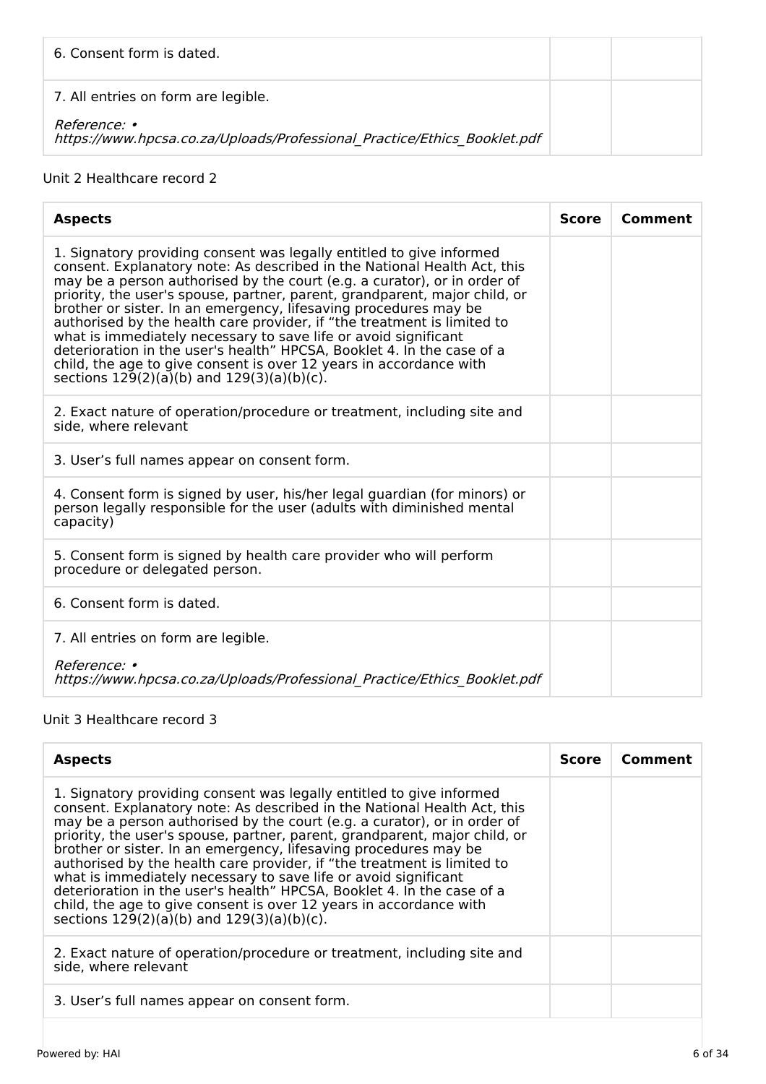| 6. Consent form is dated.                                                                       |  |
|-------------------------------------------------------------------------------------------------|--|
| 7. All entries on form are legible.                                                             |  |
| <i>Reference:</i> •<br>https://www.hpcsa.co.za/Uploads/Professional Practice/Ethics Booklet.pdf |  |

# Unit 2 Healthcare record 2

| <b>Aspects</b>                                                                                                                                                                                                                                                                                                                                                                                                                                                                                                                                                                                                                                                                                                                  | <b>Score</b> | Comment |
|---------------------------------------------------------------------------------------------------------------------------------------------------------------------------------------------------------------------------------------------------------------------------------------------------------------------------------------------------------------------------------------------------------------------------------------------------------------------------------------------------------------------------------------------------------------------------------------------------------------------------------------------------------------------------------------------------------------------------------|--------------|---------|
| 1. Signatory providing consent was legally entitled to give informed<br>consent. Explanatory note: As described in the National Health Act, this<br>may be a person authorised by the court (e.g. a curator), or in order of<br>priority, the user's spouse, partner, parent, grandparent, major child, or<br>brother or sister. In an emergency, lifesaving procedures may be<br>authorised by the health care provider, if "the treatment is limited to<br>what is immediately necessary to save life or avoid significant<br>deterioration in the user's health" HPCSA, Booklet 4. In the case of a<br>child, the age to give consent is over 12 years in accordance with<br>sections $129(2)(a)(b)$ and $129(3)(a)(b)(c)$ . |              |         |
| 2. Exact nature of operation/procedure or treatment, including site and<br>side, where relevant                                                                                                                                                                                                                                                                                                                                                                                                                                                                                                                                                                                                                                 |              |         |
| 3. User's full names appear on consent form.                                                                                                                                                                                                                                                                                                                                                                                                                                                                                                                                                                                                                                                                                    |              |         |
| 4. Consent form is signed by user, his/her legal guardian (for minors) or<br>person legally responsible for the user (adults with diminished mental<br>capacity)                                                                                                                                                                                                                                                                                                                                                                                                                                                                                                                                                                |              |         |
| 5. Consent form is signed by health care provider who will perform<br>procedure or delegated person.                                                                                                                                                                                                                                                                                                                                                                                                                                                                                                                                                                                                                            |              |         |
| 6. Consent form is dated.                                                                                                                                                                                                                                                                                                                                                                                                                                                                                                                                                                                                                                                                                                       |              |         |
| 7. All entries on form are legible.                                                                                                                                                                                                                                                                                                                                                                                                                                                                                                                                                                                                                                                                                             |              |         |
| Reference: •<br>https://www.hpcsa.co.za/Uploads/Professional Practice/Ethics Booklet.pdf                                                                                                                                                                                                                                                                                                                                                                                                                                                                                                                                                                                                                                        |              |         |

# Unit 3 Healthcare record 3

| <b>Aspects</b>                                                                                                                                                                                                                                                                                                                                                                                                                                                                                                                                                                                                                                                                                                                  | <b>Score</b> | Comment |
|---------------------------------------------------------------------------------------------------------------------------------------------------------------------------------------------------------------------------------------------------------------------------------------------------------------------------------------------------------------------------------------------------------------------------------------------------------------------------------------------------------------------------------------------------------------------------------------------------------------------------------------------------------------------------------------------------------------------------------|--------------|---------|
| 1. Signatory providing consent was legally entitled to give informed<br>consent. Explanatory note: As described in the National Health Act, this<br>may be a person authorised by the court (e.g. a curator), or in order of<br>priority, the user's spouse, partner, parent, grandparent, major child, or<br>brother or sister. In an emergency, lifesaving procedures may be<br>authorised by the health care provider, if "the treatment is limited to<br>what is immediately necessary to save life or avoid significant<br>deterioration in the user's health" HPCSA, Booklet 4. In the case of a<br>child, the age to give consent is over 12 years in accordance with<br>sections $129(2)(a)(b)$ and $129(3)(a)(b)(c)$ . |              |         |
| 2. Exact nature of operation/procedure or treatment, including site and<br>side, where relevant                                                                                                                                                                                                                                                                                                                                                                                                                                                                                                                                                                                                                                 |              |         |
| 3. User's full names appear on consent form.                                                                                                                                                                                                                                                                                                                                                                                                                                                                                                                                                                                                                                                                                    |              |         |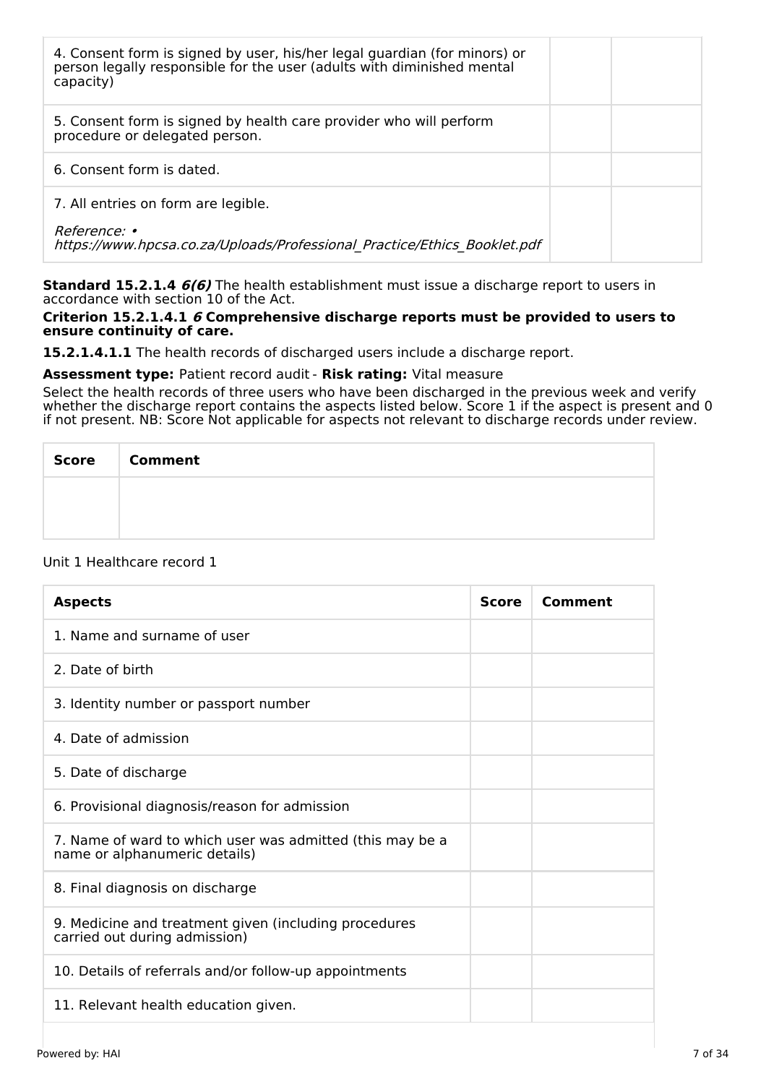| 4. Consent form is signed by user, his/her legal guardian (for minors) or<br>person legally responsible for the user (adults with diminished mental<br>capacity) |  |
|------------------------------------------------------------------------------------------------------------------------------------------------------------------|--|
| 5. Consent form is signed by health care provider who will perform<br>procedure or delegated person.                                                             |  |
| 6. Consent form is dated.                                                                                                                                        |  |
| 7. All entries on form are legible.                                                                                                                              |  |
| <i>Reference: •</i><br>https://www.hpcsa.co.za/Uploads/Professional Practice/Ethics Booklet.pdf                                                                  |  |

**Standard 15.2.1.4 6(6)** The health establishment must issue a discharge report to users in accordance with section 10 of the Act.

### **Criterion 15.2.1.4.1 6 Comprehensive discharge reports must be provided to users to ensure continuity of care.**

**15.2.1.4.1.1** The health records of discharged users include a discharge report.

# **Assessment type:** Patient record audit - **Risk rating:** Vital measure

Select the health records of three users who have been discharged in the previous week and verify whether the discharge report contains the aspects listed below. Score 1 if the aspect is present and 0 if not present. NB: Score Not applicable for aspects not relevant to discharge records under review.

| <b>Score</b><br>$\sim 10$ | <b>Comment</b> |
|---------------------------|----------------|
|                           |                |
|                           |                |

### Unit 1 Healthcare record 1

| <b>Aspects</b>                                                                             | <b>Score</b> | Comment |
|--------------------------------------------------------------------------------------------|--------------|---------|
| 1. Name and surname of user                                                                |              |         |
| 2. Date of birth                                                                           |              |         |
| 3. Identity number or passport number                                                      |              |         |
| 4. Date of admission                                                                       |              |         |
| 5. Date of discharge                                                                       |              |         |
| 6. Provisional diagnosis/reason for admission                                              |              |         |
| 7. Name of ward to which user was admitted (this may be a<br>name or alphanumeric details) |              |         |
| 8. Final diagnosis on discharge                                                            |              |         |
| 9. Medicine and treatment given (including procedures<br>carried out during admission)     |              |         |
| 10. Details of referrals and/or follow-up appointments                                     |              |         |
| 11. Relevant health education given.                                                       |              |         |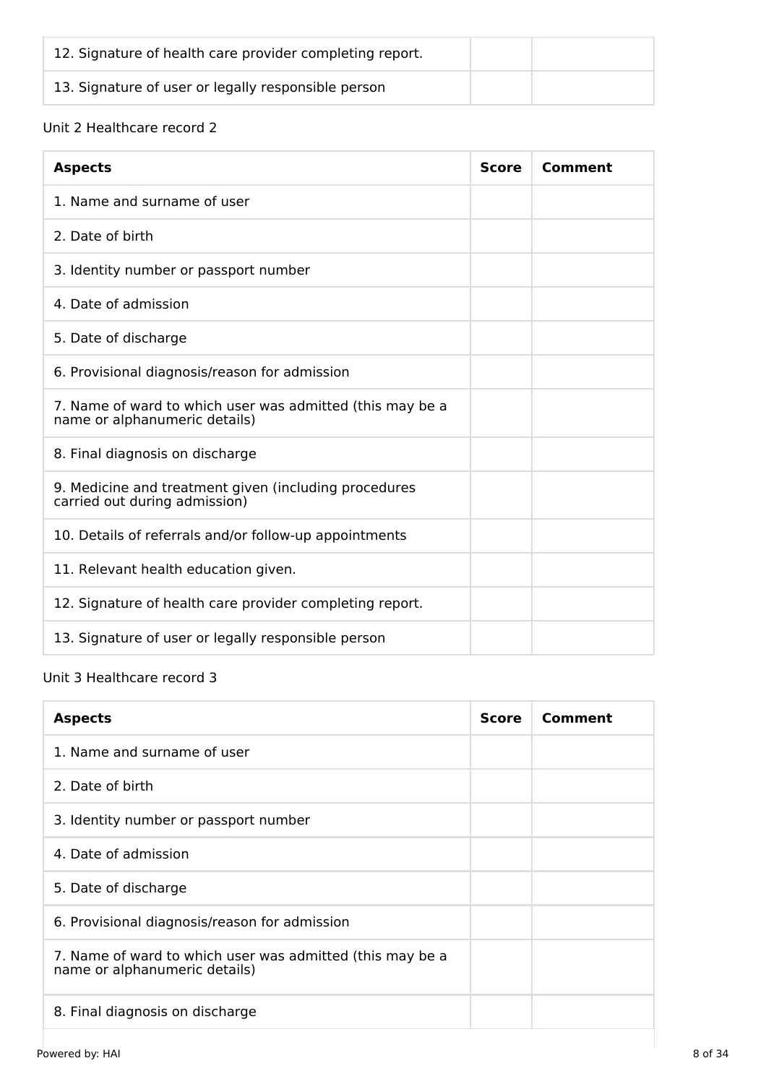| 12. Signature of health care provider completing report. |  |
|----------------------------------------------------------|--|
| 13. Signature of user or legally responsible person      |  |

# Unit 2 Healthcare record 2

| <b>Aspects</b>                                                                             | <b>Score</b> | <b>Comment</b> |
|--------------------------------------------------------------------------------------------|--------------|----------------|
| 1. Name and surname of user                                                                |              |                |
| 2. Date of birth                                                                           |              |                |
| 3. Identity number or passport number                                                      |              |                |
| 4. Date of admission                                                                       |              |                |
| 5. Date of discharge                                                                       |              |                |
| 6. Provisional diagnosis/reason for admission                                              |              |                |
| 7. Name of ward to which user was admitted (this may be a<br>name or alphanumeric details) |              |                |
| 8. Final diagnosis on discharge                                                            |              |                |
| 9. Medicine and treatment given (including procedures<br>carried out during admission)     |              |                |
| 10. Details of referrals and/or follow-up appointments                                     |              |                |
| 11. Relevant health education given.                                                       |              |                |
| 12. Signature of health care provider completing report.                                   |              |                |
| 13. Signature of user or legally responsible person                                        |              |                |

# Unit 3 Healthcare record 3

| <b>Aspects</b>                                                                             | <b>Score</b> | Comment |
|--------------------------------------------------------------------------------------------|--------------|---------|
| 1. Name and surname of user                                                                |              |         |
| 2. Date of birth                                                                           |              |         |
| 3. Identity number or passport number                                                      |              |         |
| 4. Date of admission                                                                       |              |         |
| 5. Date of discharge                                                                       |              |         |
| 6. Provisional diagnosis/reason for admission                                              |              |         |
| 7. Name of ward to which user was admitted (this may be a<br>name or alphanumeric details) |              |         |
| 8. Final diagnosis on discharge                                                            |              |         |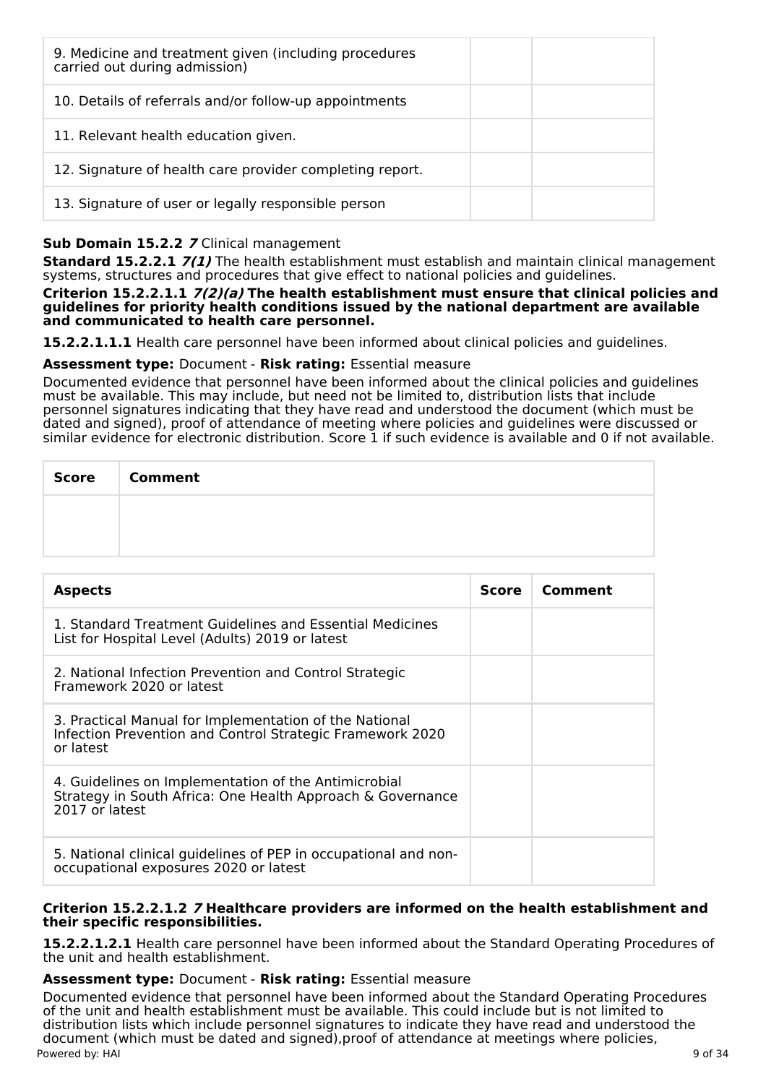| 9. Medicine and treatment given (including procedures<br>carried out during admission) |  |
|----------------------------------------------------------------------------------------|--|
| 10. Details of referrals and/or follow-up appointments                                 |  |
| 11. Relevant health education given.                                                   |  |
| 12. Signature of health care provider completing report.                               |  |
| 13. Signature of user or legally responsible person                                    |  |

# **Sub Domain 15.2.2 7** Clinical management

**Standard 15.2.2.1 7(1)** The health establishment must establish and maintain clinical management systems, structures and procedures that give effect to national policies and guidelines.

**Criterion 15.2.2.1.1 7(2)(a) The health establishment must ensure that clinical policies and guidelines for priority health conditions issued by the national department are available and communicated to health care personnel.**

**15.2.2.1.1.1** Health care personnel have been informed about clinical policies and guidelines.

# **Assessment type:** Document - **Risk rating:** Essential measure

Documented evidence that personnel have been informed about the clinical policies and guidelines must be available. This may include, but need not be limited to, distribution lists that include personnel signatures indicating that they have read and understood the document (which must be dated and signed), proof of attendance of meeting where policies and guidelines were discussed or similar evidence for electronic distribution. Score 1 if such evidence is available and 0 if not available.

| <b>Score</b> | <b>Comment</b> |
|--------------|----------------|
|              |                |
|              |                |

| <b>Aspects</b>                                                                                                                       | Score | Comment |
|--------------------------------------------------------------------------------------------------------------------------------------|-------|---------|
| 1. Standard Treatment Guidelines and Essential Medicines<br>List for Hospital Level (Adults) 2019 or latest                          |       |         |
| 2. National Infection Prevention and Control Strategic<br>Framework 2020 or latest                                                   |       |         |
| 3. Practical Manual for Implementation of the National<br>Infection Prevention and Control Strategic Framework 2020<br>or latest     |       |         |
| 4. Guidelines on Implementation of the Antimicrobial<br>Strategy in South Africa: One Health Approach & Governance<br>2017 or latest |       |         |
| 5. National clinical guidelines of PEP in occupational and non-<br>occupational exposures 2020 or latest                             |       |         |

# **Criterion 15.2.2.1.2 7 Healthcare providers are informed on the health establishment and their specific responsibilities.**

**15.2.2.1.2.1** Health care personnel have been informed about the Standard Operating Procedures of the unit and health establishment.

### **Assessment type:** Document - **Risk rating:** Essential measure

Documented evidence that personnel have been informed about the Standard Operating Procedures of the unit and health establishment must be available. This could include but is not limited to distribution lists which include personnel signatures to indicate they have read and understood the document (which must be dated and signed),proof of attendance at meetings where policies, Powered by: HAI 9 of 34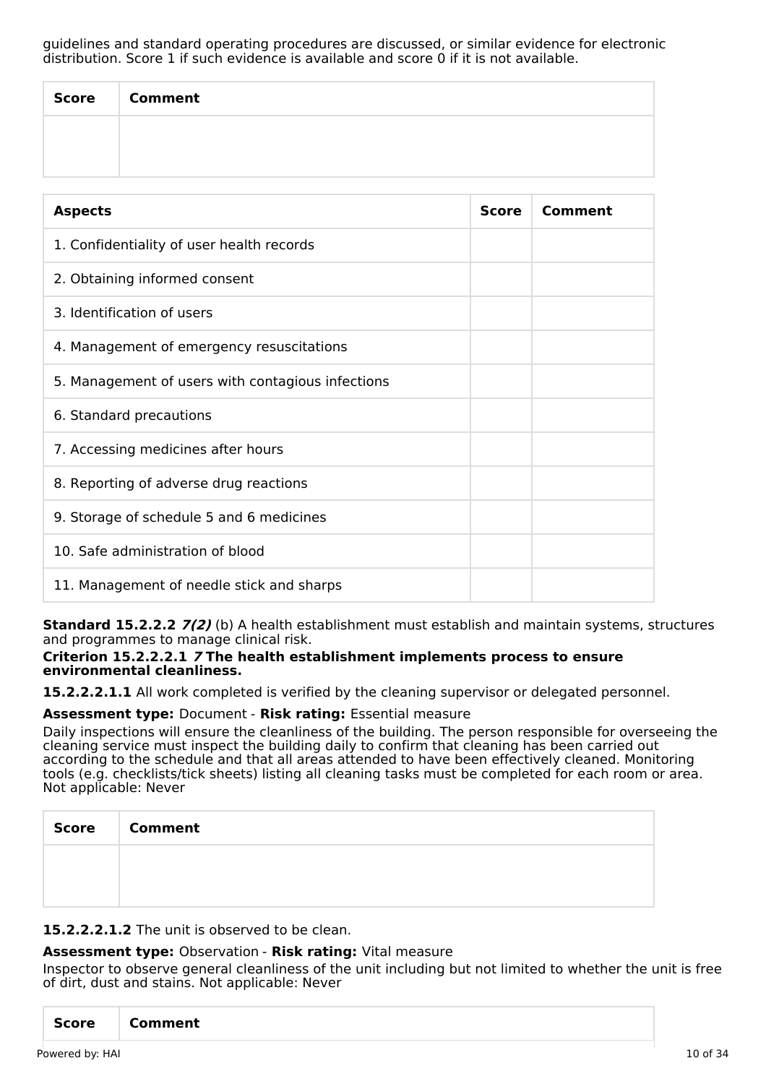guidelines and standard operating procedures are discussed, or similar evidence for electronic distribution. Score 1 if such evidence is available and score 0 if it is not available.

| Score | <b>Comment</b> |
|-------|----------------|
|       |                |
|       |                |

| <b>Aspects</b>                                    | <b>Score</b> | Comment |
|---------------------------------------------------|--------------|---------|
| 1. Confidentiality of user health records         |              |         |
| 2. Obtaining informed consent                     |              |         |
| 3. Identification of users                        |              |         |
| 4. Management of emergency resuscitations         |              |         |
| 5. Management of users with contagious infections |              |         |
| 6. Standard precautions                           |              |         |
| 7. Accessing medicines after hours                |              |         |
| 8. Reporting of adverse drug reactions            |              |         |
| 9. Storage of schedule 5 and 6 medicines          |              |         |
| 10. Safe administration of blood                  |              |         |
| 11. Management of needle stick and sharps         |              |         |

**Standard 15.2.2.2 7(2)** (b) A health establishment must establish and maintain systems, structures and programmes to manage clinical risk.

# **Criterion 15.2.2.2.1 7 The health establishment implements process to ensure environmental cleanliness.**

**15.2.2.2.1.1** All work completed is verified by the cleaning supervisor or delegated personnel.

# **Assessment type:** Document - **Risk rating:** Essential measure

Daily inspections will ensure the cleanliness of the building. The person responsible for overseeing the cleaning service must inspect the building daily to confirm that cleaning has been carried out according to the schedule and that all areas attended to have been effectively cleaned. Monitoring tools (e.g. checklists/tick sheets) listing all cleaning tasks must be completed for each room or area. Not applicable: Never

| Score Comment |
|---------------|
|               |
|               |

**15.2.2.2.1.2** The unit is observed to be clean.

# **Assessment type:** Observation - **Risk rating:** Vital measure

Inspector to observe general cleanliness of the unit including but not limited to whether the unit is free of dirt, dust and stains. Not applicable: Never

| Score<br>  Comment |
|--------------------|
|--------------------|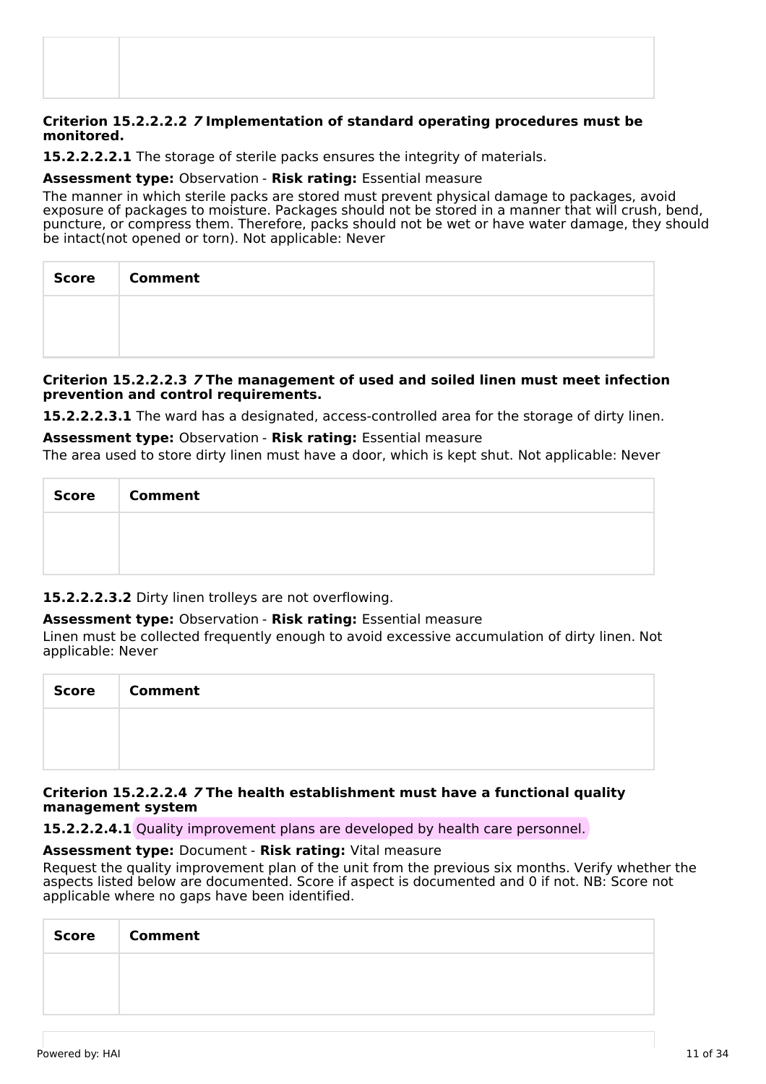### **Criterion 15.2.2.2.2 7 Implementation of standard operating procedures must be monitored.**

**15.2.2.2.2.1** The storage of sterile packs ensures the integrity of materials.

### **Assessment type:** Observation - **Risk rating:** Essential measure

The manner in which sterile packs are stored must prevent physical damage to packages, avoid exposure of packages to moisture. Packages should not be stored in a manner that will crush, bend, puncture, or compress them. Therefore, packs should not be wet or have water damage, they should be intact(not opened or torn). Not applicable: Never

| Score   Comment |
|-----------------|
|                 |
|                 |

# **Criterion 15.2.2.2.3 7 The management of used and soiled linen must meet infection prevention and control requirements.**

**15.2.2.2.3.1** The ward has a designated, access-controlled area for the storage of dirty linen.

**Assessment type:** Observation - **Risk rating:** Essential measure

The area used to store dirty linen must have a door, which is kept shut. Not applicable: Never

| <b>Score</b> | <b>Comment</b> |
|--------------|----------------|
|              |                |
|              |                |

**15.2.2.2.3.2** Dirty linen trolleys are not overflowing.

# **Assessment type:** Observation - **Risk rating:** Essential measure

Linen must be collected frequently enough to avoid excessive accumulation of dirty linen. Not applicable: Never

| <b>Score</b> | <b>Comment</b> |
|--------------|----------------|
|              |                |
|              |                |

# **Criterion 15.2.2.2.4 7 The health establishment must have a functional quality management system**

**15.2.2.2.4.1** Quality improvement plans are developed by health care personnel.

# **Assessment type:** Document - **Risk rating:** Vital measure

Request the quality improvement plan of the unit from the previous six months. Verify whether the aspects listed below are documented. Score if aspect is documented and 0 if not. NB: Score not applicable where no gaps have been identified.

| <b>Score</b> | <b>Comment</b> |
|--------------|----------------|
|              |                |
|              |                |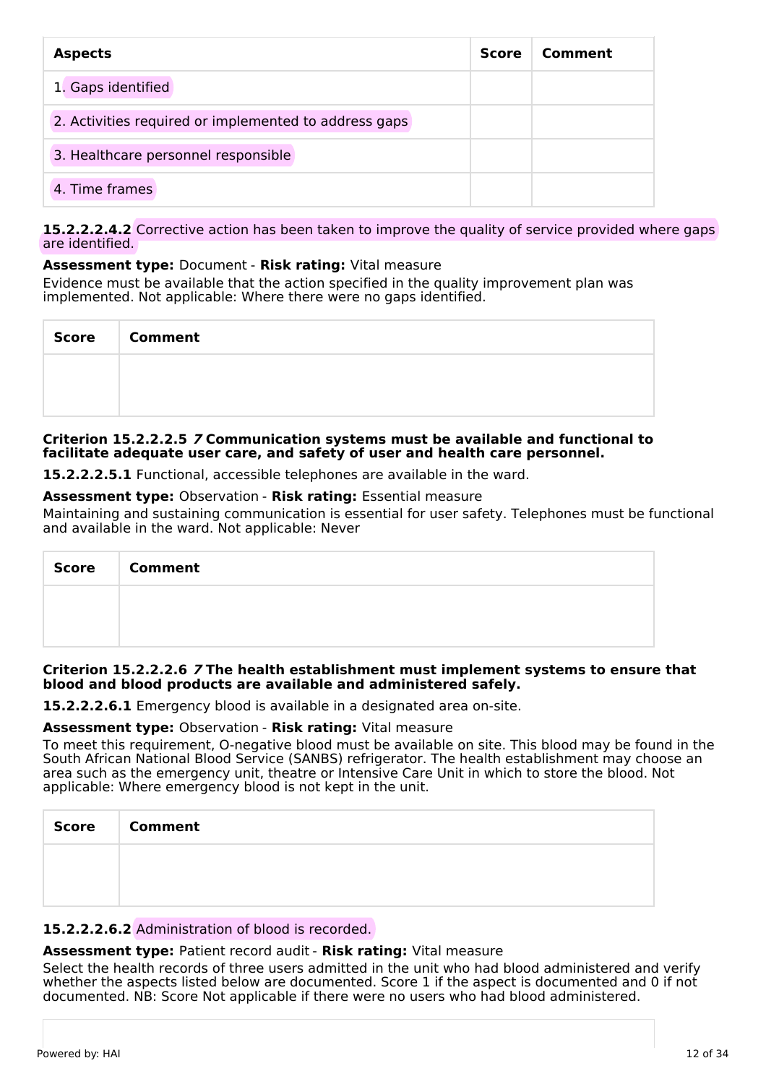| <b>Aspects</b>                                        |  | Comment |
|-------------------------------------------------------|--|---------|
| 1. Gaps identified                                    |  |         |
| 2. Activities required or implemented to address gaps |  |         |
| 3. Healthcare personnel responsible                   |  |         |
| 4. Time frames                                        |  |         |

### **15.2.2.2.4.2** Corrective action has been taken to improve the quality of service provided where gaps are identified.

# **Assessment type:** Document - **Risk rating:** Vital measure

Evidence must be available that the action specified in the quality improvement plan was implemented. Not applicable: Where there were no gaps identified.

| Score   Comment |
|-----------------|
|                 |
|                 |

### **Criterion 15.2.2.2.5 7 Communication systems must be available and functional to facilitate adequate user care, and safety of user and health care personnel.**

**15.2.2.2.5.1** Functional, accessible telephones are available in the ward.

### **Assessment type:** Observation - **Risk rating:** Essential measure

Maintaining and sustaining communication is essential for user safety. Telephones must be functional and available in the ward. Not applicable: Never

| <b>Score</b> | <b>Comment</b> |
|--------------|----------------|
|              |                |
|              |                |

### **Criterion 15.2.2.2.6 7 The health establishment must implement systems to ensure that blood and blood products are available and administered safely.**

**15.2.2.2.6.1** Emergency blood is available in a designated area on-site.

### **Assessment type:** Observation - **Risk rating:** Vital measure

To meet this requirement, O-negative blood must be available on site. This blood may be found in the South African National Blood Service (SANBS) refrigerator. The health establishment may choose an area such as the emergency unit, theatre or Intensive Care Unit in which to store the blood. Not applicable: Where emergency blood is not kept in the unit.

| <b>Score</b> | <b>Comment</b> |
|--------------|----------------|
|              |                |
|              |                |

### **15.2.2.2.6.2** Administration of blood is recorded.

# **Assessment type:** Patient record audit - **Risk rating:** Vital measure

Select the health records of three users admitted in the unit who had blood administered and verify whether the aspects listed below are documented. Score 1 if the aspect is documented and 0 if not documented. NB: Score Not applicable if there were no users who had blood administered.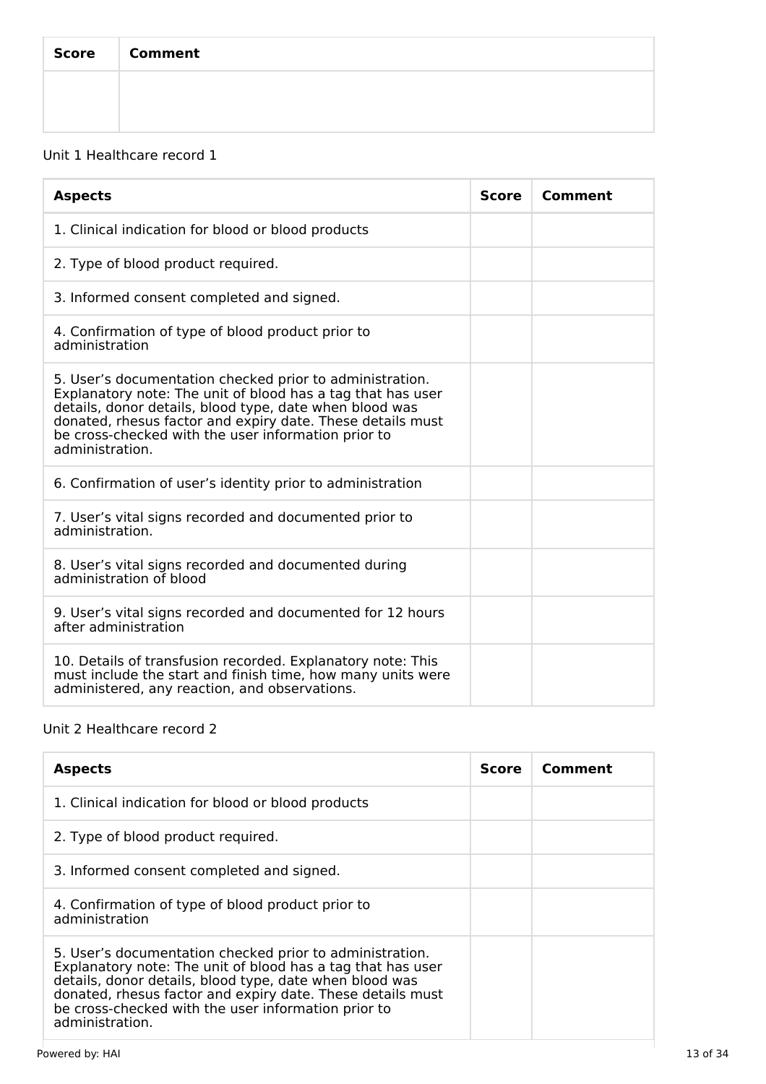| <b>Score</b> | <b>Comment</b> |
|--------------|----------------|
|              |                |
|              |                |

# Unit 1 Healthcare record 1

| <b>Aspects</b>                                                                                                                                                                                                                                                                                                             | <b>Score</b> | Comment |
|----------------------------------------------------------------------------------------------------------------------------------------------------------------------------------------------------------------------------------------------------------------------------------------------------------------------------|--------------|---------|
| 1. Clinical indication for blood or blood products                                                                                                                                                                                                                                                                         |              |         |
| 2. Type of blood product required.                                                                                                                                                                                                                                                                                         |              |         |
| 3. Informed consent completed and signed.                                                                                                                                                                                                                                                                                  |              |         |
| 4. Confirmation of type of blood product prior to<br>administration                                                                                                                                                                                                                                                        |              |         |
| 5. User's documentation checked prior to administration.<br>Explanatory note: The unit of blood has a tag that has user<br>details, donor details, blood type, date when blood was<br>donated, rhesus factor and expiry date. These details must<br>be cross-checked with the user information prior to<br>administration. |              |         |
| 6. Confirmation of user's identity prior to administration                                                                                                                                                                                                                                                                 |              |         |
| 7. User's vital signs recorded and documented prior to<br>administration.                                                                                                                                                                                                                                                  |              |         |
| 8. User's vital signs recorded and documented during<br>administration of blood                                                                                                                                                                                                                                            |              |         |
| 9. User's vital signs recorded and documented for 12 hours<br>after administration                                                                                                                                                                                                                                         |              |         |
| 10. Details of transfusion recorded. Explanatory note: This<br>must include the start and finish time, how many units were<br>administered, any reaction, and observations.                                                                                                                                                |              |         |

# Unit 2 Healthcare record 2

| <b>Aspects</b>                                                                                                                                                                                                                                                                                                             | <b>Score</b> | Comment |
|----------------------------------------------------------------------------------------------------------------------------------------------------------------------------------------------------------------------------------------------------------------------------------------------------------------------------|--------------|---------|
| 1. Clinical indication for blood or blood products                                                                                                                                                                                                                                                                         |              |         |
| 2. Type of blood product required.                                                                                                                                                                                                                                                                                         |              |         |
| 3. Informed consent completed and signed.                                                                                                                                                                                                                                                                                  |              |         |
| 4. Confirmation of type of blood product prior to<br>administration                                                                                                                                                                                                                                                        |              |         |
| 5. User's documentation checked prior to administration.<br>Explanatory note: The unit of blood has a tag that has user<br>details, donor details, blood type, date when blood was<br>donated, rhesus factor and expiry date. These details must<br>be cross-checked with the user information prior to<br>administration. |              |         |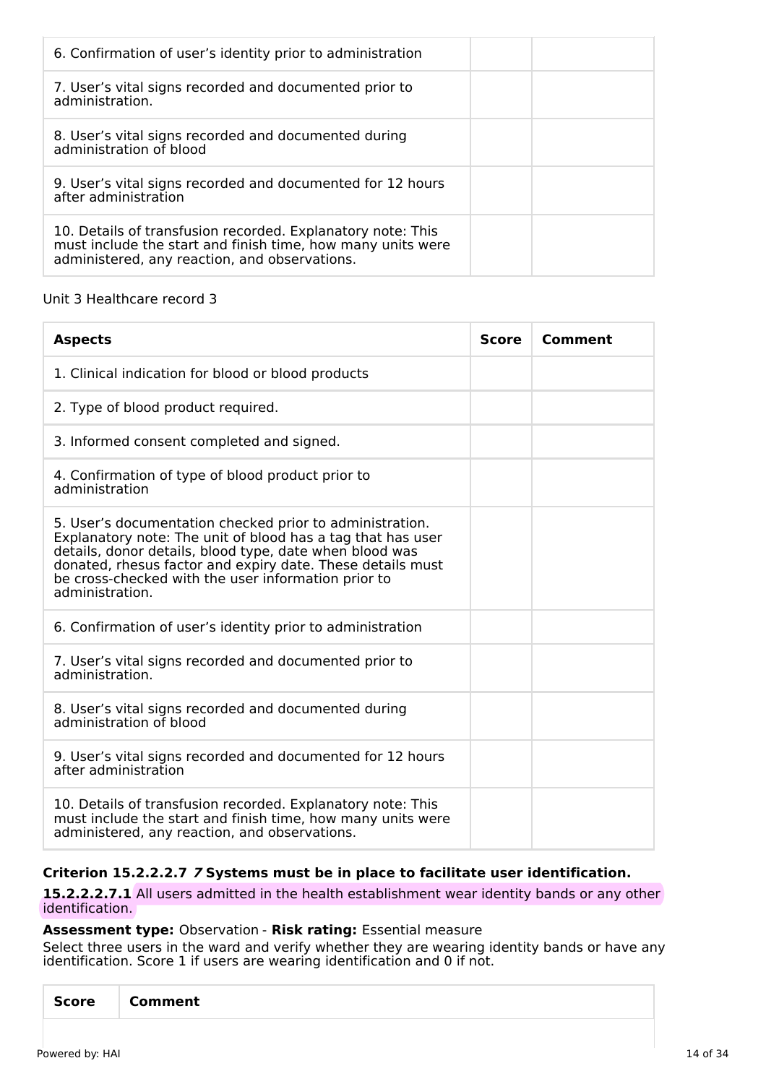| 6. Confirmation of user's identity prior to administration                                                                                                                  |  |
|-----------------------------------------------------------------------------------------------------------------------------------------------------------------------------|--|
| 7. User's vital signs recorded and documented prior to<br>administration.                                                                                                   |  |
| 8. User's vital signs recorded and documented during<br>administration of blood                                                                                             |  |
| 9. User's vital signs recorded and documented for 12 hours<br>after administration                                                                                          |  |
| 10. Details of transfusion recorded. Explanatory note: This<br>must include the start and finish time, how many units were<br>administered, any reaction, and observations. |  |

# Unit 3 Healthcare record 3

| <b>Aspects</b>                                                                                                                                                                                                                                                                                                             | <b>Score</b> | Comment |
|----------------------------------------------------------------------------------------------------------------------------------------------------------------------------------------------------------------------------------------------------------------------------------------------------------------------------|--------------|---------|
| 1. Clinical indication for blood or blood products                                                                                                                                                                                                                                                                         |              |         |
| 2. Type of blood product required.                                                                                                                                                                                                                                                                                         |              |         |
| 3. Informed consent completed and signed.                                                                                                                                                                                                                                                                                  |              |         |
| 4. Confirmation of type of blood product prior to<br>administration                                                                                                                                                                                                                                                        |              |         |
| 5. User's documentation checked prior to administration.<br>Explanatory note: The unit of blood has a tag that has user<br>details, donor details, blood type, date when blood was<br>donated, rhesus factor and expiry date. These details must<br>be cross-checked with the user information prior to<br>administration. |              |         |
| 6. Confirmation of user's identity prior to administration                                                                                                                                                                                                                                                                 |              |         |
| 7. User's vital signs recorded and documented prior to<br>administration.                                                                                                                                                                                                                                                  |              |         |
| 8. User's vital signs recorded and documented during<br>administration of blood                                                                                                                                                                                                                                            |              |         |
| 9. User's vital signs recorded and documented for 12 hours<br>after administration                                                                                                                                                                                                                                         |              |         |
| 10. Details of transfusion recorded. Explanatory note: This<br>must include the start and finish time, how many units were<br>administered, any reaction, and observations.                                                                                                                                                |              |         |

# **Criterion 15.2.2.2.7 7 Systems must be in place to facilitate user identification.**

**15.2.2.2.7.1** All users admitted in the health establishment wear identity bands or any other identification.

### **Assessment type:** Observation - **Risk rating:** Essential measure

Select three users in the ward and verify whether they are wearing identity bands or have any identification. Score 1 if users are wearing identification and 0 if not.

| Score |
|-------|
|-------|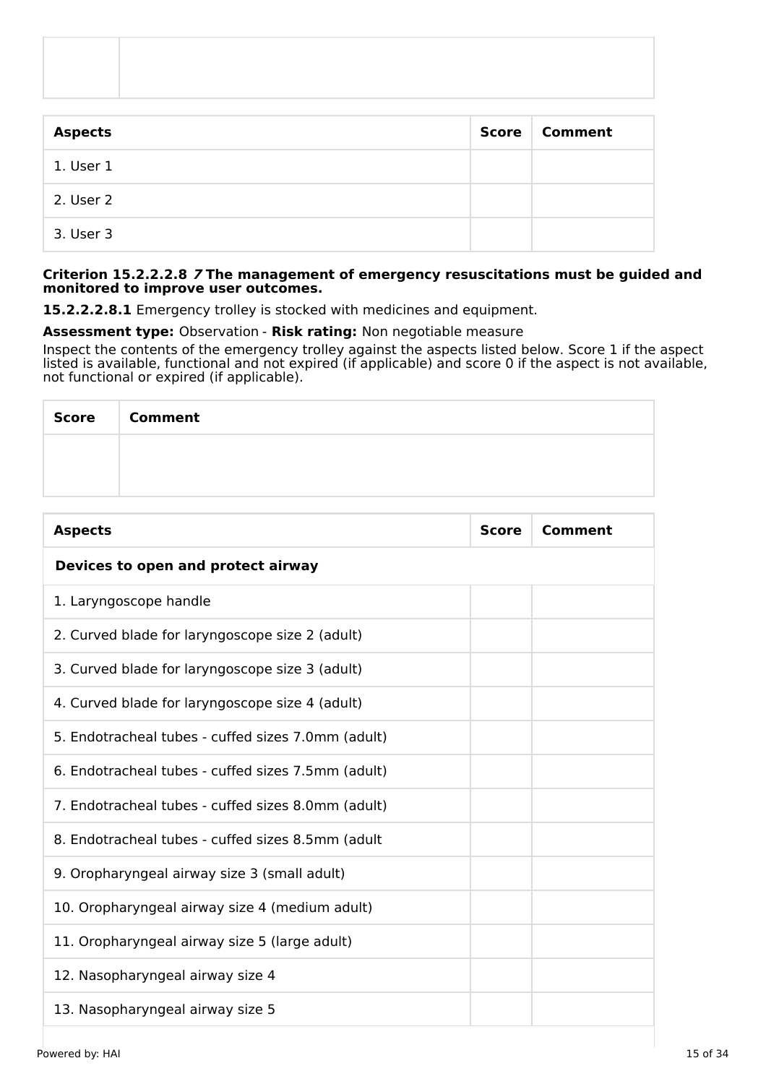| <b>Aspects</b> | <b>Score</b> | Comment |
|----------------|--------------|---------|
| 1. User 1      |              |         |
| 2. User 2      |              |         |
| 3. User 3      |              |         |

### **Criterion 15.2.2.2.8 7 The management of emergency resuscitations must be guided and monitored to improve user outcomes.**

**15.2.2.2.8.1** Emergency trolley is stocked with medicines and equipment.

# **Assessment type:** Observation - **Risk rating:** Non negotiable measure

Inspect the contents of the emergency trolley against the aspects listed below. Score 1 if the aspect listed is available, functional and not expired (if applicable) and score 0 if the aspect is not available, not functional or expired (if applicable).

| <b>Score</b> | <b>Comment</b> |
|--------------|----------------|
|              |                |
|              |                |

| <b>Aspects</b>                                     | <b>Score</b> | Comment |
|----------------------------------------------------|--------------|---------|
| Devices to open and protect airway                 |              |         |
| 1. Laryngoscope handle                             |              |         |
| 2. Curved blade for laryngoscope size 2 (adult)    |              |         |
| 3. Curved blade for laryngoscope size 3 (adult)    |              |         |
| 4. Curved blade for laryngoscope size 4 (adult)    |              |         |
| 5. Endotracheal tubes - cuffed sizes 7.0mm (adult) |              |         |
| 6. Endotracheal tubes - cuffed sizes 7.5mm (adult) |              |         |
| 7. Endotracheal tubes - cuffed sizes 8.0mm (adult) |              |         |
| 8. Endotracheal tubes - cuffed sizes 8.5mm (adult  |              |         |
| 9. Oropharyngeal airway size 3 (small adult)       |              |         |
| 10. Oropharyngeal airway size 4 (medium adult)     |              |         |
| 11. Oropharyngeal airway size 5 (large adult)      |              |         |
| 12. Nasopharyngeal airway size 4                   |              |         |
| 13. Nasopharyngeal airway size 5                   |              |         |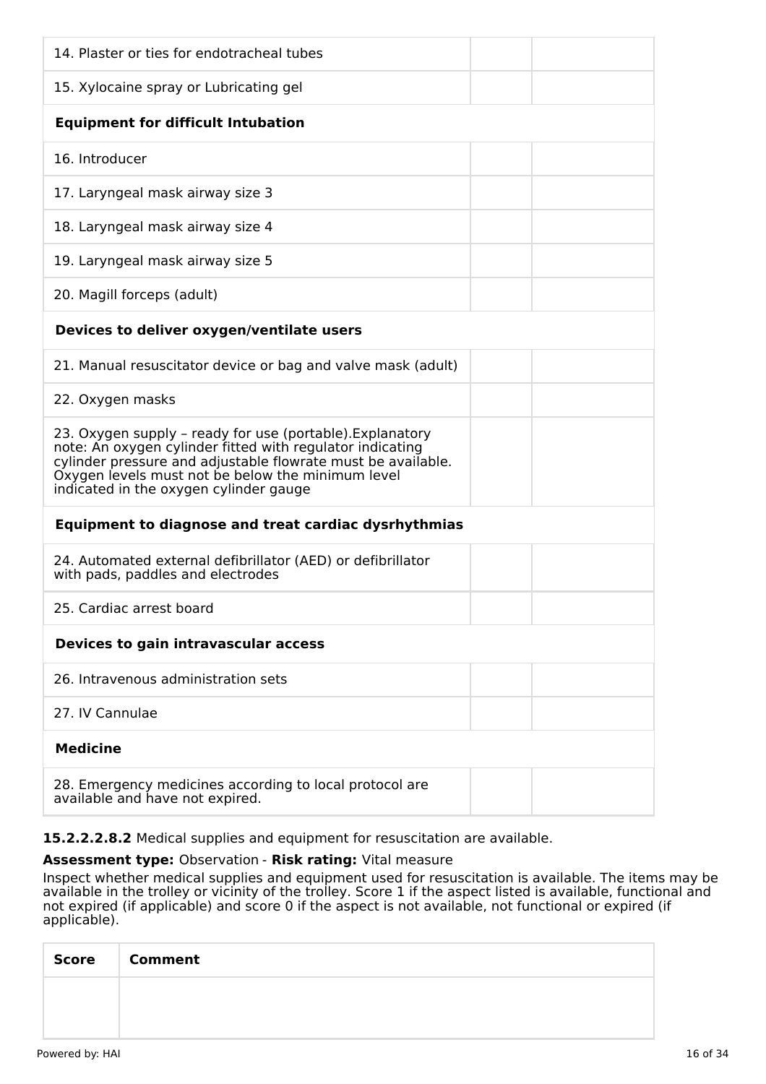| 14. Plaster or ties for endotracheal tubes                                                                                                                                                                                                                                            |
|---------------------------------------------------------------------------------------------------------------------------------------------------------------------------------------------------------------------------------------------------------------------------------------|
| 15. Xylocaine spray or Lubricating gel                                                                                                                                                                                                                                                |
| <b>Equipment for difficult Intubation</b>                                                                                                                                                                                                                                             |
| 16. Introducer                                                                                                                                                                                                                                                                        |
| 17. Laryngeal mask airway size 3                                                                                                                                                                                                                                                      |
| 18. Laryngeal mask airway size 4                                                                                                                                                                                                                                                      |
| 19. Laryngeal mask airway size 5                                                                                                                                                                                                                                                      |
| 20. Magill forceps (adult)                                                                                                                                                                                                                                                            |
| Devices to deliver oxygen/ventilate users                                                                                                                                                                                                                                             |
| 21. Manual resuscitator device or bag and valve mask (adult)                                                                                                                                                                                                                          |
| 22. Oxygen masks                                                                                                                                                                                                                                                                      |
| 23. Oxygen supply - ready for use (portable). Explanatory<br>note: An oxygen cylinder fitted with regulator indicating<br>cylinder pressure and adjustable flowrate must be available.<br>Oxygen levels must not be below the minimum level<br>indicated in the oxygen cylinder gauge |
| <b>Equipment to diagnose and treat cardiac dysrhythmias</b>                                                                                                                                                                                                                           |
| 24. Automated external defibrillator (AED) or defibrillator<br>with pads, paddles and electrodes                                                                                                                                                                                      |
| 25. Cardiac arrest board                                                                                                                                                                                                                                                              |
| Devices to gain intravascular access                                                                                                                                                                                                                                                  |
| 26. Intravenous administration sets                                                                                                                                                                                                                                                   |
| 27. IV Cannulae                                                                                                                                                                                                                                                                       |
| <b>Medicine</b>                                                                                                                                                                                                                                                                       |
| 28. Emergency medicines according to local protocol are<br>available and have not expired.                                                                                                                                                                                            |

**15.2.2.2.8.2** Medical supplies and equipment for resuscitation are available.

### **Assessment type:** Observation - **Risk rating:** Vital measure

Inspect whether medical supplies and equipment used for resuscitation is available. The items may be available in the trolley or vicinity of the trolley. Score 1 if the aspect listed is available, functional and not expired (if applicable) and score 0 if the aspect is not available, not functional or expired (if applicable).

| Score   Comment |
|-----------------|
|                 |
|                 |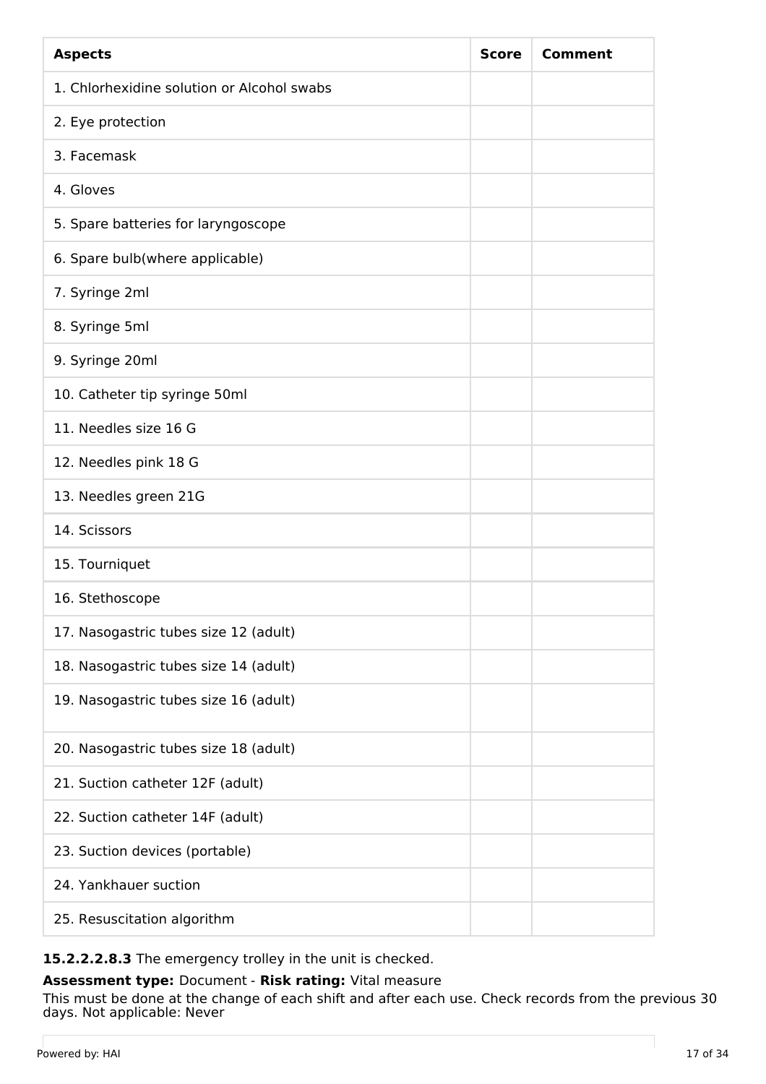| <b>Aspects</b>                             | <b>Score</b> | <b>Comment</b> |
|--------------------------------------------|--------------|----------------|
| 1. Chlorhexidine solution or Alcohol swabs |              |                |
| 2. Eye protection                          |              |                |
| 3. Facemask                                |              |                |
| 4. Gloves                                  |              |                |
| 5. Spare batteries for laryngoscope        |              |                |
| 6. Spare bulb(where applicable)            |              |                |
| 7. Syringe 2ml                             |              |                |
| 8. Syringe 5ml                             |              |                |
| 9. Syringe 20ml                            |              |                |
| 10. Catheter tip syringe 50ml              |              |                |
| 11. Needles size 16 G                      |              |                |
| 12. Needles pink 18 G                      |              |                |
| 13. Needles green 21G                      |              |                |
| 14. Scissors                               |              |                |
| 15. Tourniquet                             |              |                |
| 16. Stethoscope                            |              |                |
| 17. Nasogastric tubes size 12 (adult)      |              |                |
| 18. Nasogastric tubes size 14 (adult)      |              |                |
| 19. Nasogastric tubes size 16 (adult)      |              |                |
| 20. Nasogastric tubes size 18 (adult)      |              |                |
| 21. Suction catheter 12F (adult)           |              |                |
| 22. Suction catheter 14F (adult)           |              |                |
| 23. Suction devices (portable)             |              |                |
| 24. Yankhauer suction                      |              |                |
| 25. Resuscitation algorithm                |              |                |

# **15.2.2.2.8.3** The emergency trolley in the unit is checked.

**Assessment type:** Document - **Risk rating:** Vital measure

This must be done at the change of each shift and after each use. Check records from the previous 30 days. Not applicable: Never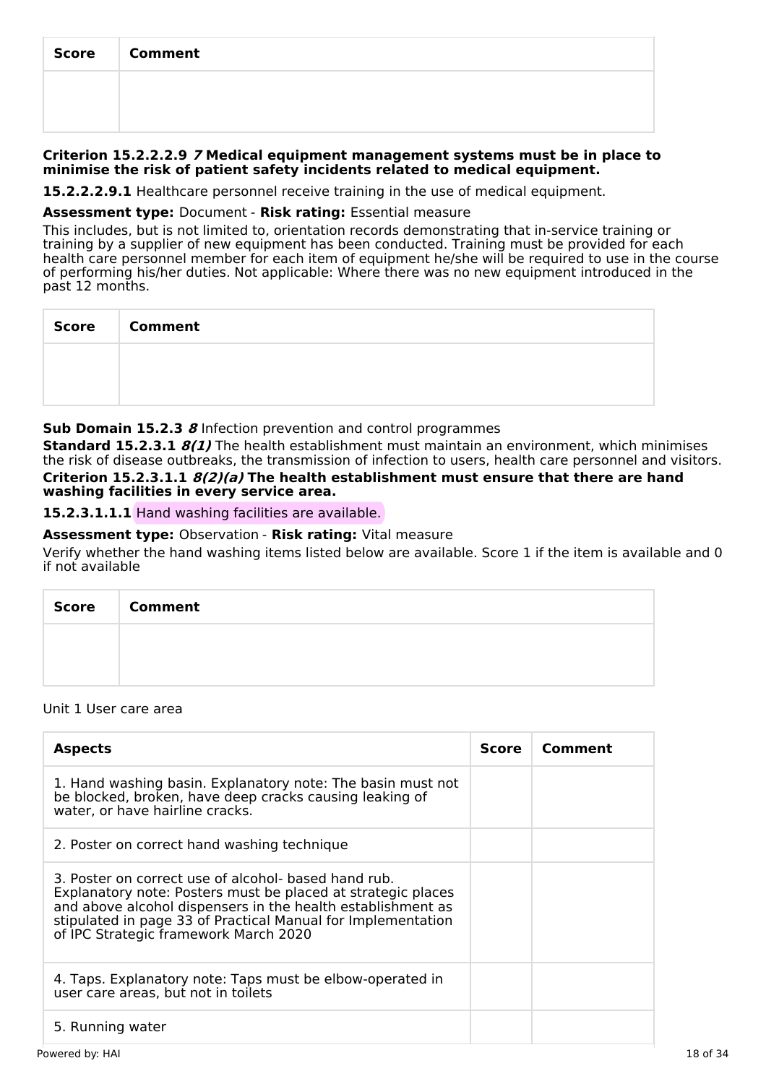| <b>Score</b> | <b>Comment</b> |
|--------------|----------------|
|              |                |
|              |                |

### **Criterion 15.2.2.2.9 7 Medical equipment management systems must be in place to minimise the risk of patient safety incidents related to medical equipment.**

**15.2.2.2.9.1** Healthcare personnel receive training in the use of medical equipment.

### **Assessment type:** Document - **Risk rating:** Essential measure

This includes, but is not limited to, orientation records demonstrating that in-service training or training by a supplier of new equipment has been conducted. Training must be provided for each health care personnel member for each item of equipment he/she will be required to use in the course of performing his/her duties. Not applicable: Where there was no new equipment introduced in the past 12 months.

| Score   Comment |
|-----------------|
|                 |
|                 |

# **Sub Domain 15.2.3 8** Infection prevention and control programmes

**Standard 15.2.3.1 8(1)** The health establishment must maintain an environment, which minimises the risk of disease outbreaks, the transmission of infection to users, health care personnel and visitors. **Criterion 15.2.3.1.1 8(2)(a) The health establishment must ensure that there are hand washing facilities in every service area.**

# **15.2.3.1.1.1** Hand washing facilities are available.

# **Assessment type:** Observation - **Risk rating:** Vital measure

Verify whether the hand washing items listed below are available. Score 1 if the item is available and 0 if not available

| Score   Comment |
|-----------------|
|                 |
|                 |

#### Unit 1 User care area

| <b>Aspects</b>                                                                                                                                                                                                                                                                               | <b>Score</b> | Comment |
|----------------------------------------------------------------------------------------------------------------------------------------------------------------------------------------------------------------------------------------------------------------------------------------------|--------------|---------|
| 1. Hand washing basin. Explanatory note: The basin must not<br>be blocked, broken, have deep cracks causing leaking of<br>water, or have hairline cracks.                                                                                                                                    |              |         |
| 2. Poster on correct hand washing technique                                                                                                                                                                                                                                                  |              |         |
| 3. Poster on correct use of alcohol- based hand rub.<br>Explanatory note: Posters must be placed at strategic places<br>and above alcohol dispensers in the health establishment as<br>stipulated in page 33 of Practical Manual for Implementation<br>of IPC Strategic framework March 2020 |              |         |
| 4. Taps. Explanatory note: Taps must be elbow-operated in<br>user care areas, but not in toilets                                                                                                                                                                                             |              |         |
| 5. Running water                                                                                                                                                                                                                                                                             |              |         |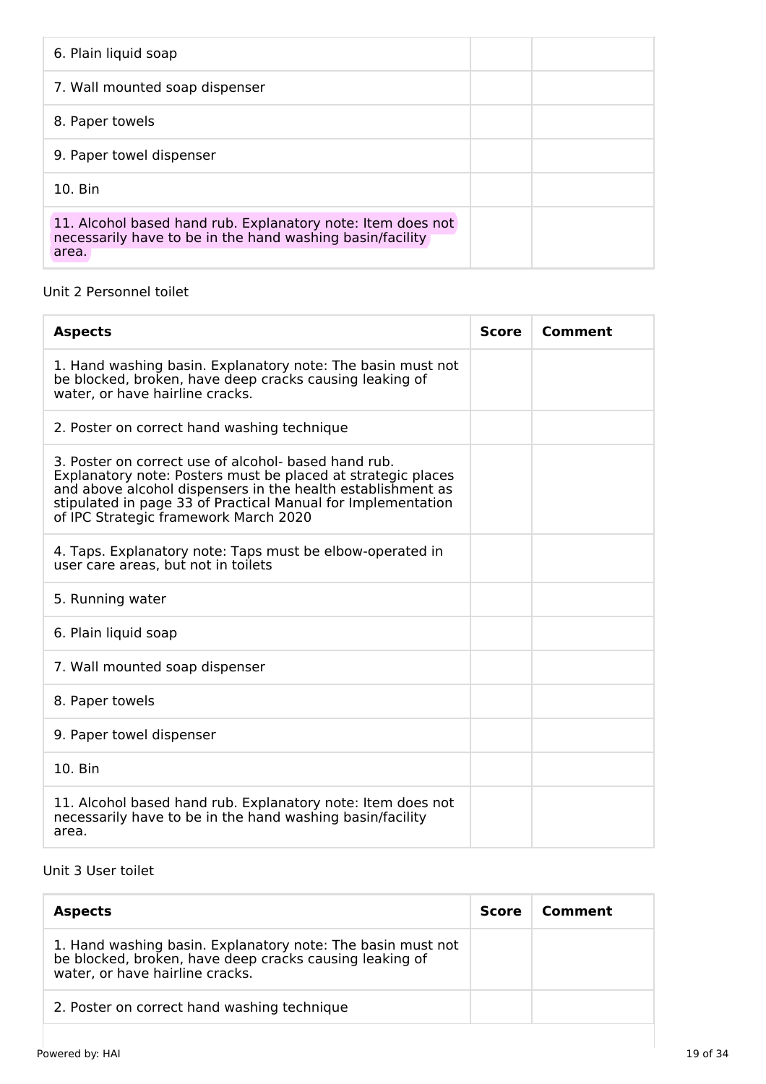| 6. Plain liquid soap                                                                                                              |  |
|-----------------------------------------------------------------------------------------------------------------------------------|--|
| 7. Wall mounted soap dispenser                                                                                                    |  |
| 8. Paper towels                                                                                                                   |  |
| 9. Paper towel dispenser                                                                                                          |  |
| 10. Bin                                                                                                                           |  |
| 11. Alcohol based hand rub. Explanatory note: Item does not<br>necessarily have to be in the hand washing basin/facility<br>area. |  |

# Unit 2 Personnel toilet

| <b>Aspects</b>                                                                                                                                                                                                                                                                               | <b>Score</b> | Comment |
|----------------------------------------------------------------------------------------------------------------------------------------------------------------------------------------------------------------------------------------------------------------------------------------------|--------------|---------|
| 1. Hand washing basin. Explanatory note: The basin must not<br>be blocked, broken, have deep cracks causing leaking of<br>water, or have hairline cracks.                                                                                                                                    |              |         |
| 2. Poster on correct hand washing technique                                                                                                                                                                                                                                                  |              |         |
| 3. Poster on correct use of alcohol- based hand rub.<br>Explanatory note: Posters must be placed at strategic places<br>and above alcohol dispensers in the health establishment as<br>stipulated in page 33 of Practical Manual for Implementation<br>of IPC Strategic framework March 2020 |              |         |
| 4. Taps. Explanatory note: Taps must be elbow-operated in<br>user care areas, but not in toilets                                                                                                                                                                                             |              |         |
| 5. Running water                                                                                                                                                                                                                                                                             |              |         |
| 6. Plain liquid soap                                                                                                                                                                                                                                                                         |              |         |
| 7. Wall mounted soap dispenser                                                                                                                                                                                                                                                               |              |         |
| 8. Paper towels                                                                                                                                                                                                                                                                              |              |         |
| 9. Paper towel dispenser                                                                                                                                                                                                                                                                     |              |         |
| 10. Bin                                                                                                                                                                                                                                                                                      |              |         |
| 11. Alcohol based hand rub. Explanatory note: Item does not<br>necessarily have to be in the hand washing basin/facility<br>area.                                                                                                                                                            |              |         |

# Unit 3 User toilet

| <b>Aspects</b>                                                                                                                                            | <b>Score</b> | Comment |
|-----------------------------------------------------------------------------------------------------------------------------------------------------------|--------------|---------|
| 1. Hand washing basin. Explanatory note: The basin must not<br>be blocked, broken, have deep cracks causing leaking of<br>water, or have hairline cracks. |              |         |
| 2. Poster on correct hand washing technique                                                                                                               |              |         |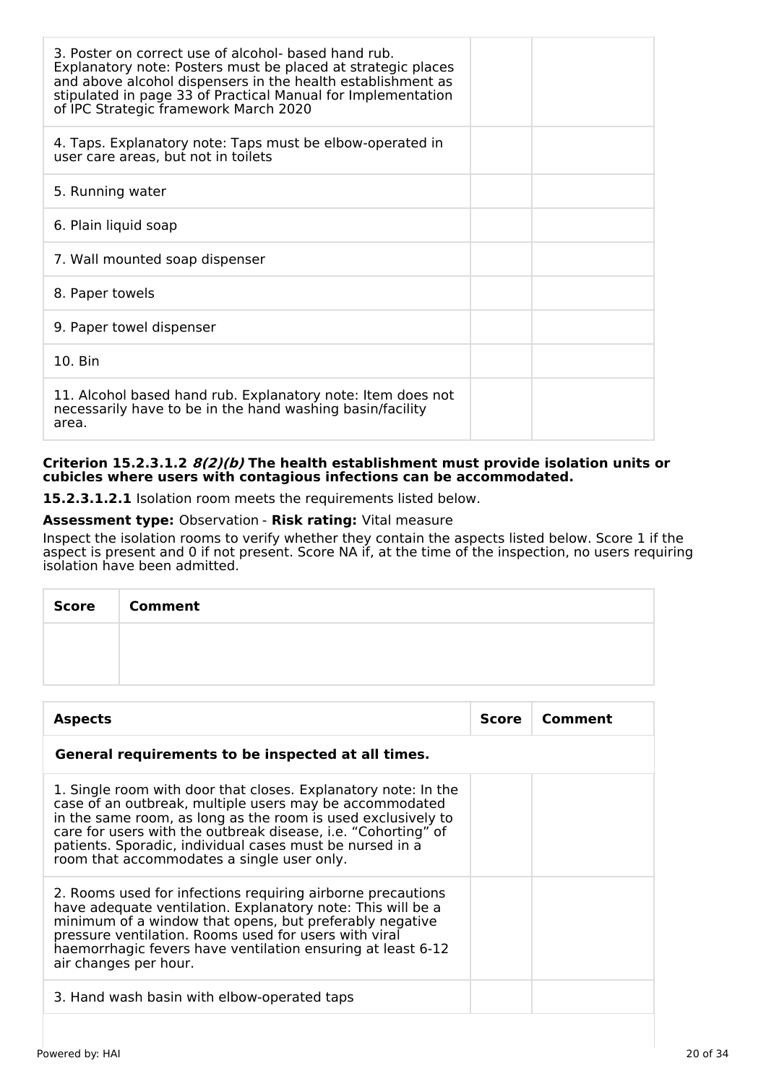| 3. Poster on correct use of alcohol- based hand rub.<br>Explanatory note: Posters must be placed at strategic places<br>and above alcohol dispensers in the health establishment as<br>stipulated in page 33 of Practical Manual for Implementation<br>of IPC Strategic framework March 2020 |  |
|----------------------------------------------------------------------------------------------------------------------------------------------------------------------------------------------------------------------------------------------------------------------------------------------|--|
| 4. Taps. Explanatory note: Taps must be elbow-operated in<br>user care areas, but not in toilets                                                                                                                                                                                             |  |
| 5. Running water                                                                                                                                                                                                                                                                             |  |
| 6. Plain liquid soap                                                                                                                                                                                                                                                                         |  |
| 7. Wall mounted soap dispenser                                                                                                                                                                                                                                                               |  |
| 8. Paper towels                                                                                                                                                                                                                                                                              |  |
| 9. Paper towel dispenser                                                                                                                                                                                                                                                                     |  |
| 10. Bin                                                                                                                                                                                                                                                                                      |  |
| 11. Alcohol based hand rub. Explanatory note: Item does not<br>necessarily have to be in the hand washing basin/facility<br>area.                                                                                                                                                            |  |

### **Criterion 15.2.3.1.2 8(2)(b) The health establishment must provide isolation units or cubicles where users with contagious infections can be accommodated.**

**15.2.3.1.2.1** Isolation room meets the requirements listed below.

# **Assessment type:** Observation - **Risk rating:** Vital measure

Inspect the isolation rooms to verify whether they contain the aspects listed below. Score 1 if the aspect is present and 0 if not present. Score NA if, at the time of the inspection, no users requiring isolation have been admitted.

| Score   Comment |
|-----------------|
|                 |
|                 |

| <b>Aspects</b>                                                                                                                                                                                                                                                                                                                                                       | Score | Comment |
|----------------------------------------------------------------------------------------------------------------------------------------------------------------------------------------------------------------------------------------------------------------------------------------------------------------------------------------------------------------------|-------|---------|
| General requirements to be inspected at all times.                                                                                                                                                                                                                                                                                                                   |       |         |
| 1. Single room with door that closes. Explanatory note: In the<br>case of an outbreak, multiple users may be accommodated<br>in the same room, as long as the room is used exclusively to<br>care for users with the outbreak disease, i.e. "Cohorting" of<br>patients. Sporadic, individual cases must be nursed in a<br>room that accommodates a single user only. |       |         |
| 2. Rooms used for infections requiring airborne precautions<br>have adequate ventilation. Explanatory note: This will be a<br>minimum of a window that opens, but preferably negative<br>pressure ventilation. Rooms used for users with viral<br>haemorrhagic fevers have ventilation ensuring at least 6-12<br>air changes per hour.                               |       |         |
| 3. Hand wash basin with elbow-operated taps                                                                                                                                                                                                                                                                                                                          |       |         |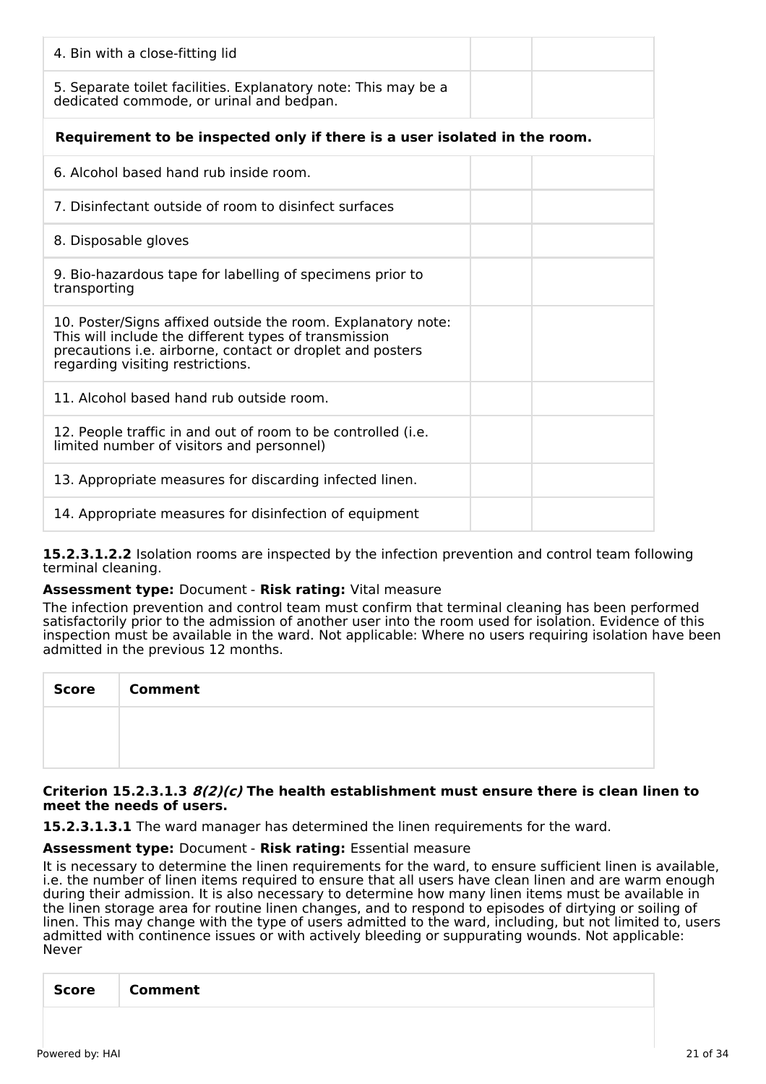| 4. Bin with a close-fitting lid                                                                                                                                                                                        |
|------------------------------------------------------------------------------------------------------------------------------------------------------------------------------------------------------------------------|
| 5. Separate toilet facilities. Explanatory note: This may be a<br>dedicated commode, or urinal and bedpan.                                                                                                             |
| Requirement to be inspected only if there is a user isolated in the room.                                                                                                                                              |
| 6. Alcohol based hand rub inside room.                                                                                                                                                                                 |
| 7. Disinfectant outside of room to disinfect surfaces                                                                                                                                                                  |
| 8. Disposable gloves                                                                                                                                                                                                   |
| 9. Bio-hazardous tape for labelling of specimens prior to<br>transporting                                                                                                                                              |
| 10. Poster/Signs affixed outside the room. Explanatory note:<br>This will include the different types of transmission<br>precautions i.e. airborne, contact or droplet and posters<br>regarding visiting restrictions. |
| 11. Alcohol based hand rub outside room.                                                                                                                                                                               |
| 12. People traffic in and out of room to be controlled (i.e.<br>limited number of visitors and personnel)                                                                                                              |
| 13. Appropriate measures for discarding infected linen.                                                                                                                                                                |
| 14. Appropriate measures for disinfection of equipment                                                                                                                                                                 |

**15.2.3.1.2.2** Isolation rooms are inspected by the infection prevention and control team following terminal cleaning.

# **Assessment type:** Document - **Risk rating:** Vital measure

The infection prevention and control team must confirm that terminal cleaning has been performed satisfactorily prior to the admission of another user into the room used for isolation. Evidence of this inspection must be available in the ward. Not applicable: Where no users requiring isolation have been admitted in the previous 12 months.

| <b>Score</b> | <b>Comment</b> |
|--------------|----------------|
|              |                |
|              |                |

#### **Criterion 15.2.3.1.3 8(2)(c) The health establishment must ensure there is clean linen to meet the needs of users.**

**15.2.3.1.3.1** The ward manager has determined the linen requirements for the ward.

#### **Assessment type:** Document - **Risk rating:** Essential measure

It is necessary to determine the linen requirements for the ward, to ensure sufficient linen is available, i.e. the number of linen items required to ensure that all users have clean linen and are warm enough during their admission. It is also necessary to determine how many linen items must be available in the linen storage area for routine linen changes, and to respond to episodes of dirtying or soiling of linen. This may change with the type of users admitted to the ward, including, but not limited to, users admitted with continence issues or with actively bleeding or suppurating wounds. Not applicable: Never

| <b>Score</b> | Comment |
|--------------|---------|
|              |         |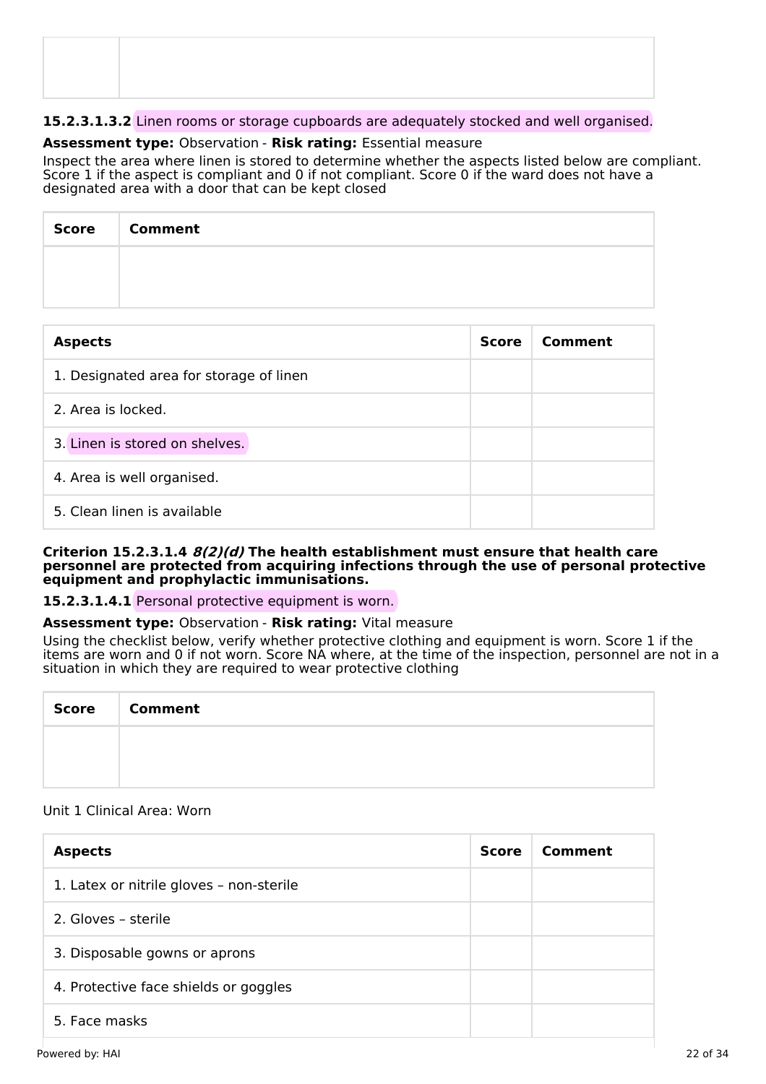# **15.2.3.1.3.2** Linen rooms or storage cupboards are adequately stocked and well organised.

# **Assessment type:** Observation - **Risk rating:** Essential measure

Inspect the area where linen is stored to determine whether the aspects listed below are compliant. Score 1 if the aspect is compliant and 0 if not compliant. Score 0 if the ward does not have a designated area with a door that can be kept closed

| Score   Comment |
|-----------------|
|                 |
|                 |

| <b>Aspects</b>                          | <b>Score</b> | Comment |
|-----------------------------------------|--------------|---------|
| 1. Designated area for storage of linen |              |         |
| 2. Area is locked.                      |              |         |
| 3. Linen is stored on shelves.          |              |         |
| 4. Area is well organised.              |              |         |
| 5. Clean linen is available             |              |         |

#### **Criterion 15.2.3.1.4 8(2)(d) The health establishment must ensure that health care personnel are protected from acquiring infections through the use of personal protective equipment and prophylactic immunisations.**

### **15.2.3.1.4.1** Personal protective equipment is worn.

### **Assessment type:** Observation - **Risk rating:** Vital measure

Using the checklist below, verify whether protective clothing and equipment is worn. Score 1 if the items are worn and 0 if not worn. Score NA where, at the time of the inspection, personnel are not in a situation in which they are required to wear protective clothing

| <b>Score</b> | <b>Comment</b> |
|--------------|----------------|
|              |                |
|              |                |

# Unit 1 Clinical Area: Worn

| <b>Aspects</b>                           | Score | Comment |
|------------------------------------------|-------|---------|
| 1. Latex or nitrile gloves - non-sterile |       |         |
| 2. Gloves - sterile                      |       |         |
| 3. Disposable gowns or aprons            |       |         |
| 4. Protective face shields or goggles    |       |         |
| 5. Face masks                            |       |         |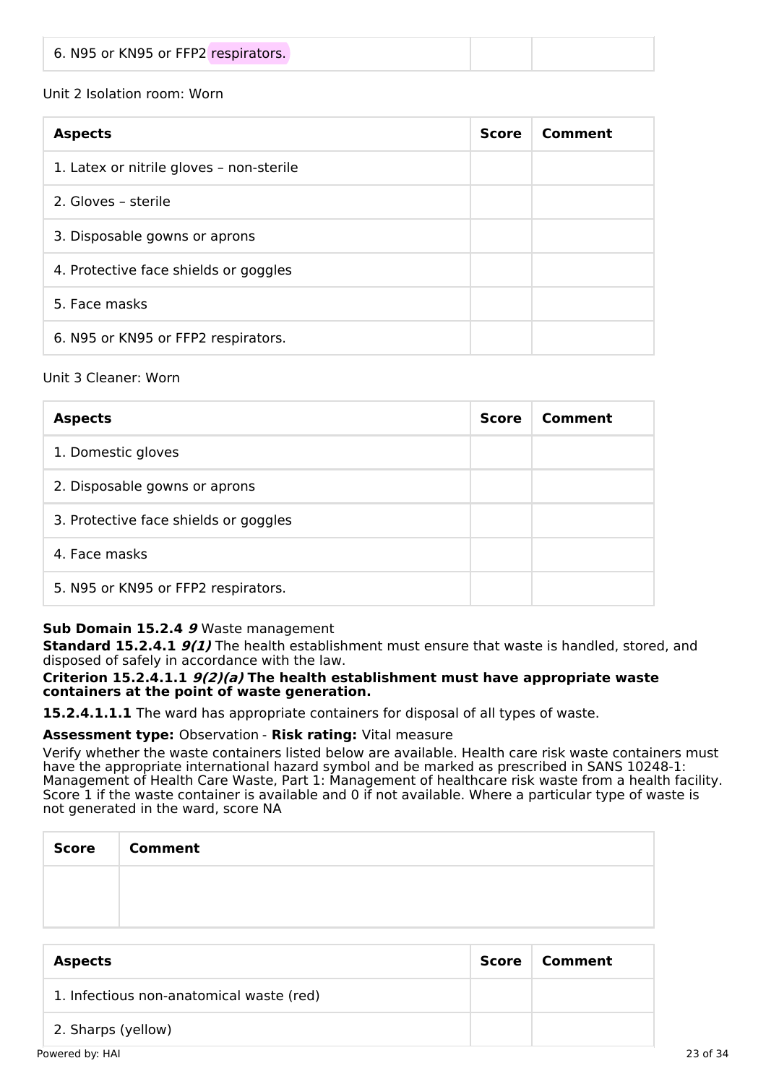|--|--|

# Unit 2 Isolation room: Worn

| <b>Aspects</b>                                                                                                 | <b>Score</b> | Comment |
|----------------------------------------------------------------------------------------------------------------|--------------|---------|
| 1. Latex or nitrile gloves - non-sterile                                                                       |              |         |
| 2. Gloves - sterile<br>3. Disposable gowns or aprons<br>4. Protective face shields or goggles<br>5. Face masks |              |         |
|                                                                                                                |              |         |
|                                                                                                                |              |         |
|                                                                                                                |              |         |
| 6. N95 or KN95 or FFP2 respirators.                                                                            |              |         |

# Unit 3 Cleaner: Worn

| <b>Aspects</b>                        | <b>Score</b> | Comment |
|---------------------------------------|--------------|---------|
| 1. Domestic gloves                    |              |         |
| 2. Disposable gowns or aprons         |              |         |
| 3. Protective face shields or goggles |              |         |
| 4. Face masks                         |              |         |
| 5. N95 or KN95 or FFP2 respirators.   |              |         |

# **Sub Domain 15.2.4 9** Waste management

**Standard 15.2.4.1 9(1)** The health establishment must ensure that waste is handled, stored, and disposed of safely in accordance with the law.

### **Criterion 15.2.4.1.1 9(2)(a) The health establishment must have appropriate waste containers at the point of waste generation.**

**15.2.4.1.1.1** The ward has appropriate containers for disposal of all types of waste.

# **Assessment type:** Observation - **Risk rating:** Vital measure

Verify whether the waste containers listed below are available. Health care risk waste containers must have the appropriate international hazard symbol and be marked as prescribed in SANS 10248-1: Management of Health Care Waste, Part 1: Management of healthcare risk waste from a health facility. Score 1 if the waste container is available and 0 if not available. Where a particular type of waste is not generated in the ward, score NA

| Score | <b>Comment</b> |
|-------|----------------|
|       |                |
|       |                |

| <b>Aspects</b>                           | Score | Comment |          |
|------------------------------------------|-------|---------|----------|
| 1. Infectious non-anatomical waste (red) |       |         |          |
| 2. Sharps (yellow)                       |       |         |          |
| Powered by: HAI                          |       |         | 23 of 34 |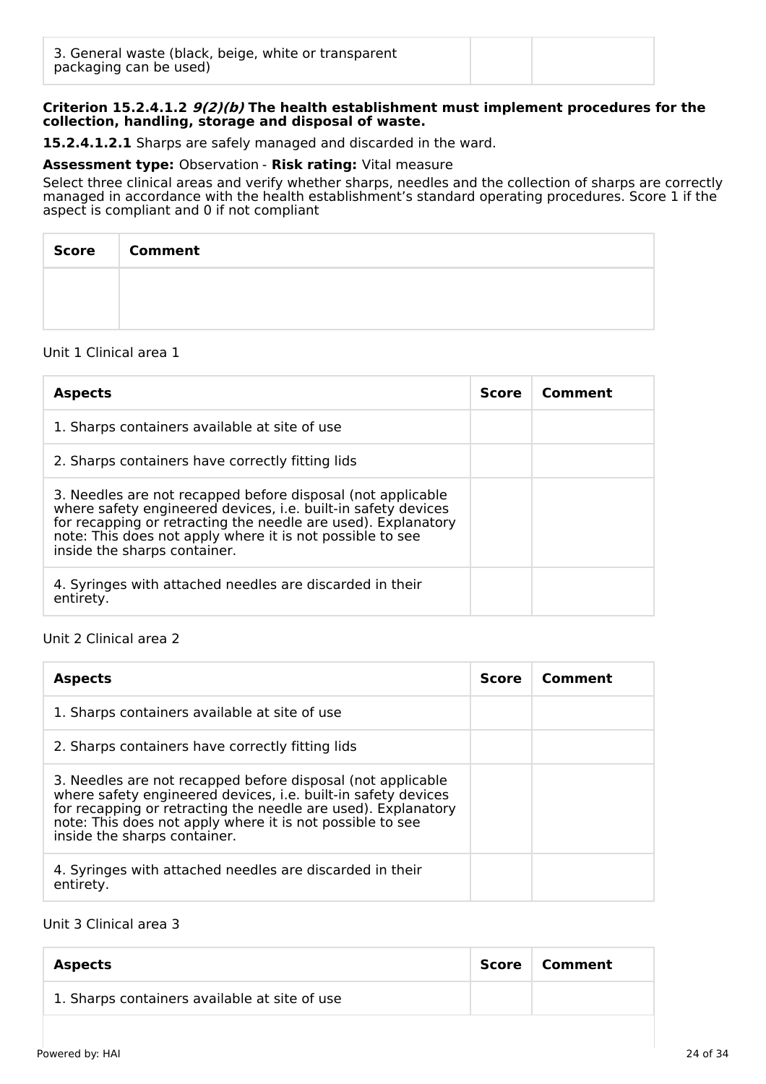# **Criterion 15.2.4.1.2 9(2)(b) The health establishment must implement procedures for the collection, handling, storage and disposal of waste.**

**15.2.4.1.2.1** Sharps are safely managed and discarded in the ward.

# **Assessment type:** Observation - **Risk rating:** Vital measure

Select three clinical areas and verify whether sharps, needles and the collection of sharps are correctly managed in accordance with the health establishment's standard operating procedures. Score 1 if the aspect is compliant and 0 if not compliant

| Score   Comment |
|-----------------|
|                 |
|                 |

# Unit 1 Clinical area 1

| <b>Aspects</b>                                                                                                                                                                                                                                                                             | <b>Score</b> | Comment |
|--------------------------------------------------------------------------------------------------------------------------------------------------------------------------------------------------------------------------------------------------------------------------------------------|--------------|---------|
| 1. Sharps containers available at site of use                                                                                                                                                                                                                                              |              |         |
| 2. Sharps containers have correctly fitting lids                                                                                                                                                                                                                                           |              |         |
| 3. Needles are not recapped before disposal (not applicable<br>where safety engineered devices, i.e. built-in safety devices<br>for recapping or retracting the needle are used). Explanatory<br>note: This does not apply where it is not possible to see<br>inside the sharps container. |              |         |
| 4. Syringes with attached needles are discarded in their<br>entirety.                                                                                                                                                                                                                      |              |         |

### Unit 2 Clinical area 2

| <b>Aspects</b>                                                                                                                                                                                                                                                                             | <b>Score</b> | Comment |
|--------------------------------------------------------------------------------------------------------------------------------------------------------------------------------------------------------------------------------------------------------------------------------------------|--------------|---------|
| 1. Sharps containers available at site of use                                                                                                                                                                                                                                              |              |         |
| 2. Sharps containers have correctly fitting lids                                                                                                                                                                                                                                           |              |         |
| 3. Needles are not recapped before disposal (not applicable<br>where safety engineered devices, i.e. built-in safety devices<br>for recapping or retracting the needle are used). Explanatory<br>note: This does not apply where it is not possible to see<br>inside the sharps container. |              |         |
| 4. Syringes with attached needles are discarded in their<br>entirety.                                                                                                                                                                                                                      |              |         |

# Unit 3 Clinical area 3

| <b>Aspects</b>                                | Score   Comment |
|-----------------------------------------------|-----------------|
| 1. Sharps containers available at site of use |                 |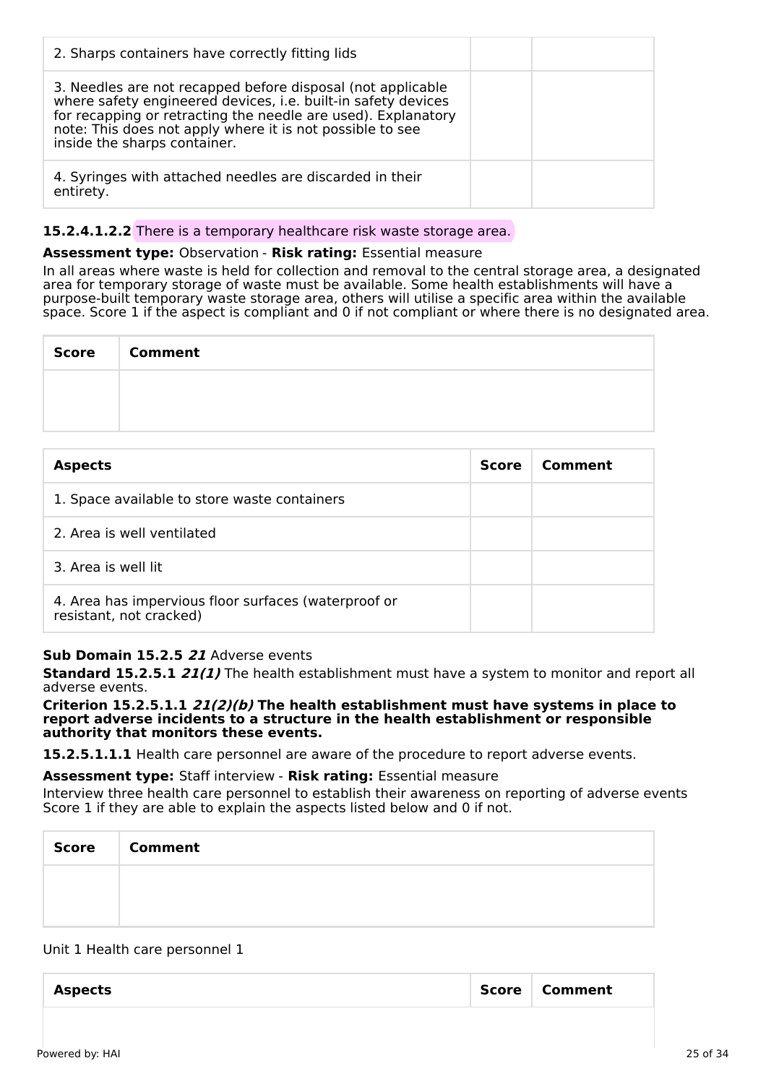| 2. Sharps containers have correctly fitting lids                                                                                                                                                                                                                                           |  |
|--------------------------------------------------------------------------------------------------------------------------------------------------------------------------------------------------------------------------------------------------------------------------------------------|--|
| 3. Needles are not recapped before disposal (not applicable<br>where safety engineered devices, i.e. built-in safety devices<br>for recapping or retracting the needle are used). Explanatory<br>note: This does not apply where it is not possible to see<br>inside the sharps container. |  |
| 4. Syringes with attached needles are discarded in their<br>entirety.                                                                                                                                                                                                                      |  |

# **15.2.4.1.2.2** There is a temporary healthcare risk waste storage area.

# **Assessment type:** Observation - **Risk rating:** Essential measure

In all areas where waste is held for collection and removal to the central storage area, a designated area for temporary storage of waste must be available. Some health establishments will have a purpose-built temporary waste storage area, others will utilise a specific area within the available space. Score 1 if the aspect is compliant and 0 if not compliant or where there is no designated area.

| <b>Score</b> | <b>Comment</b> |
|--------------|----------------|
|              |                |
|              |                |

| <b>Aspects</b>                                                                  | <b>Score</b> | Comment |
|---------------------------------------------------------------------------------|--------------|---------|
| 1. Space available to store waste containers                                    |              |         |
| 2. Area is well ventilated                                                      |              |         |
| 3. Area is well lit                                                             |              |         |
| 4. Area has impervious floor surfaces (waterproof or<br>resistant, not cracked) |              |         |

# **Sub Domain 15.2.5 21** Adverse events

**Standard 15.2.5.1 21(1)** The health establishment must have a system to monitor and report all adverse events.

**Criterion 15.2.5.1.1 21(2)(b) The health establishment must have systems in place to report adverse incidents to a structure in the health establishment or responsible authority that monitors these events.**

**15.2.5.1.1.1** Health care personnel are aware of the procedure to report adverse events.

**Assessment type:** Staff interview - **Risk rating:** Essential measure

Interview three health care personnel to establish their awareness on reporting of adverse events Score 1 if they are able to explain the aspects listed below and 0 if not.

| <b>Score</b> | <b>Comment</b> |
|--------------|----------------|
|              |                |
|              |                |

### Unit 1 Health care personnel 1

| <b>Aspects</b> | Score   Comment |
|----------------|-----------------|
|                |                 |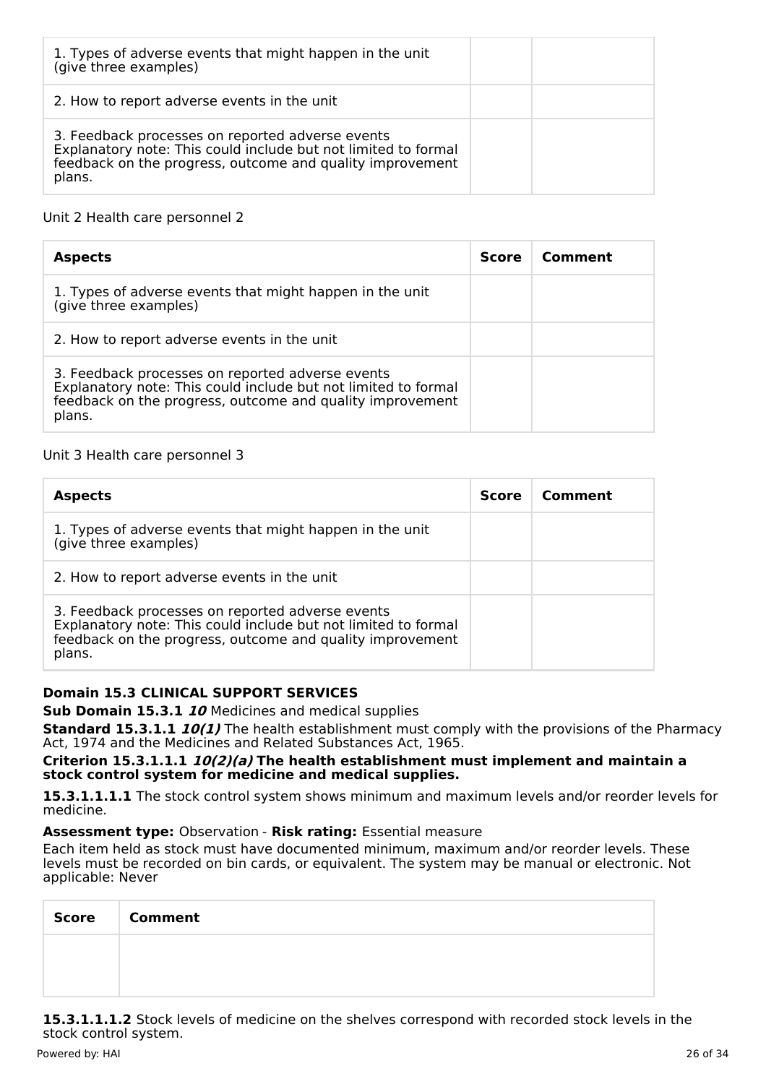| 1. Types of adverse events that might happen in the unit<br>(give three examples)                                                                                                         |  |
|-------------------------------------------------------------------------------------------------------------------------------------------------------------------------------------------|--|
| 2. How to report adverse events in the unit                                                                                                                                               |  |
| 3. Feedback processes on reported adverse events<br>Explanatory note: This could include but not limited to formal<br>feedback on the progress, outcome and quality improvement<br>plans. |  |

# Unit 2 Health care personnel 2

| <b>Aspects</b>                                                                                                                                                                            | <b>Score</b> | Comment |
|-------------------------------------------------------------------------------------------------------------------------------------------------------------------------------------------|--------------|---------|
| 1. Types of adverse events that might happen in the unit<br>(give three examples)                                                                                                         |              |         |
| 2. How to report adverse events in the unit                                                                                                                                               |              |         |
| 3. Feedback processes on reported adverse events<br>Explanatory note: This could include but not limited to formal<br>feedback on the progress, outcome and quality improvement<br>plans. |              |         |

# Unit 3 Health care personnel 3

| <b>Aspects</b>                                                                                                                                                                            | <b>Score</b> | Comment |
|-------------------------------------------------------------------------------------------------------------------------------------------------------------------------------------------|--------------|---------|
| 1. Types of adverse events that might happen in the unit<br>(give three examples)                                                                                                         |              |         |
| 2. How to report adverse events in the unit                                                                                                                                               |              |         |
| 3. Feedback processes on reported adverse events<br>Explanatory note: This could include but not limited to formal<br>feedback on the progress, outcome and quality improvement<br>plans. |              |         |

# **Domain 15.3 CLINICAL SUPPORT SERVICES**

**Sub Domain 15.3.1 10** Medicines and medical supplies

**Standard 15.3.1.1 10(1)** The health establishment must comply with the provisions of the Pharmacy Act, 1974 and the Medicines and Related Substances Act, 1965.

#### **Criterion 15.3.1.1.1 10(2)(a) The health establishment must implement and maintain a stock control system for medicine and medical supplies.**

**15.3.1.1.1.1** The stock control system shows minimum and maximum levels and/or reorder levels for medicine.

# **Assessment type:** Observation - **Risk rating:** Essential measure

Each item held as stock must have documented minimum, maximum and/or reorder levels. These levels must be recorded on bin cards, or equivalent. The system may be manual or electronic. Not applicable: Never

| <b>Score</b> | <b>Comment</b> |
|--------------|----------------|
|              |                |
|              |                |

**15.3.1.1.1.2** Stock levels of medicine on the shelves correspond with recorded stock levels in the stock control system.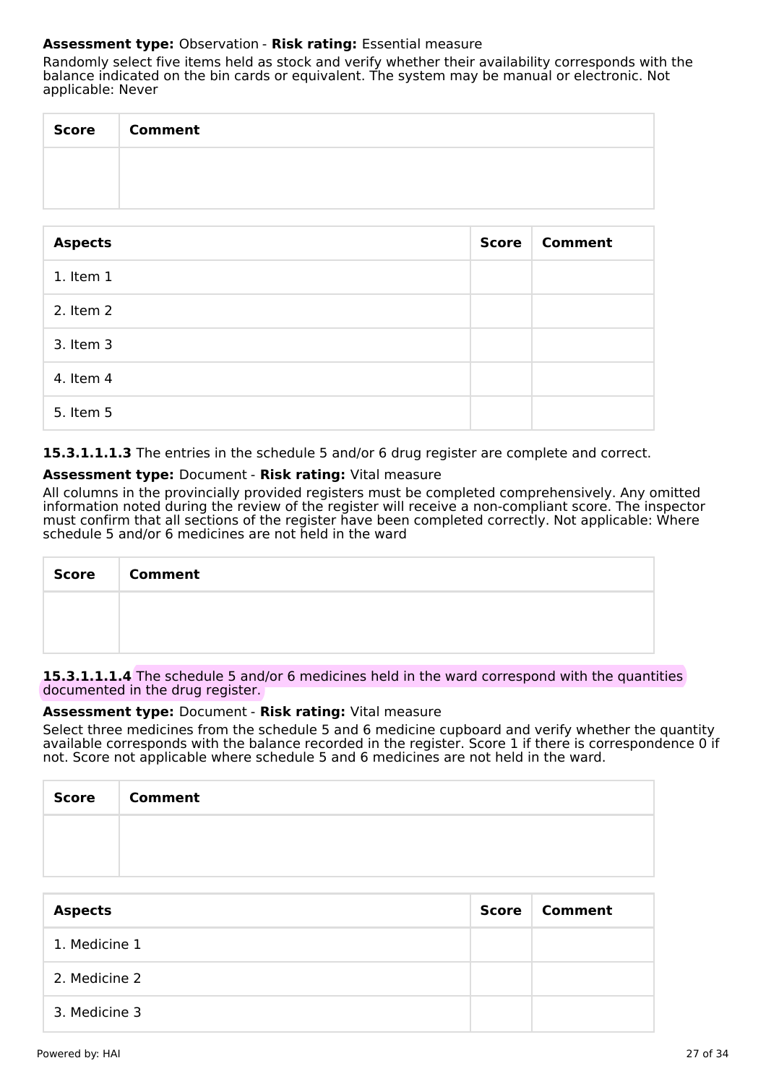# **Assessment type:** Observation - **Risk rating:** Essential measure

Randomly select five items held as stock and verify whether their availability corresponds with the balance indicated on the bin cards or equivalent. The system may be manual or electronic. Not applicable: Never

| Score Comment |
|---------------|
|               |
|               |

| <b>Aspects</b> | <b>Score</b> | <b>Comment</b> |
|----------------|--------------|----------------|
| $1.$ Item $1$  |              |                |
| 2. Item 2      |              |                |
| 3. Item 3      |              |                |
| 4. Item 4      |              |                |
| 5. Item 5      |              |                |

**15.3.1.1.1.3** The entries in the schedule 5 and/or 6 drug register are complete and correct.

# **Assessment type:** Document - **Risk rating:** Vital measure

All columns in the provincially provided registers must be completed comprehensively. Any omitted information noted during the review of the register will receive a non-compliant score. The inspector must confirm that all sections of the register have been completed correctly. Not applicable: Where schedule 5 and/or 6 medicines are not held in the ward

| Score Comment |
|---------------|
|               |
|               |

15.3.1.1.1.4 The schedule 5 and/or 6 medicines held in the ward correspond with the quantities documented in the drug register.

### **Assessment type:** Document - **Risk rating:** Vital measure

Select three medicines from the schedule 5 and 6 medicine cupboard and verify whether the quantity available corresponds with the balance recorded in the register. Score 1 if there is correspondence 0 if not. Score not applicable where schedule 5 and 6 medicines are not held in the ward.

| Score   Comment |
|-----------------|
|                 |
|                 |

| <b>Aspects</b> | <b>Score</b> | Comment |
|----------------|--------------|---------|
| 1. Medicine 1  |              |         |
| 2. Medicine 2  |              |         |
| 3. Medicine 3  |              |         |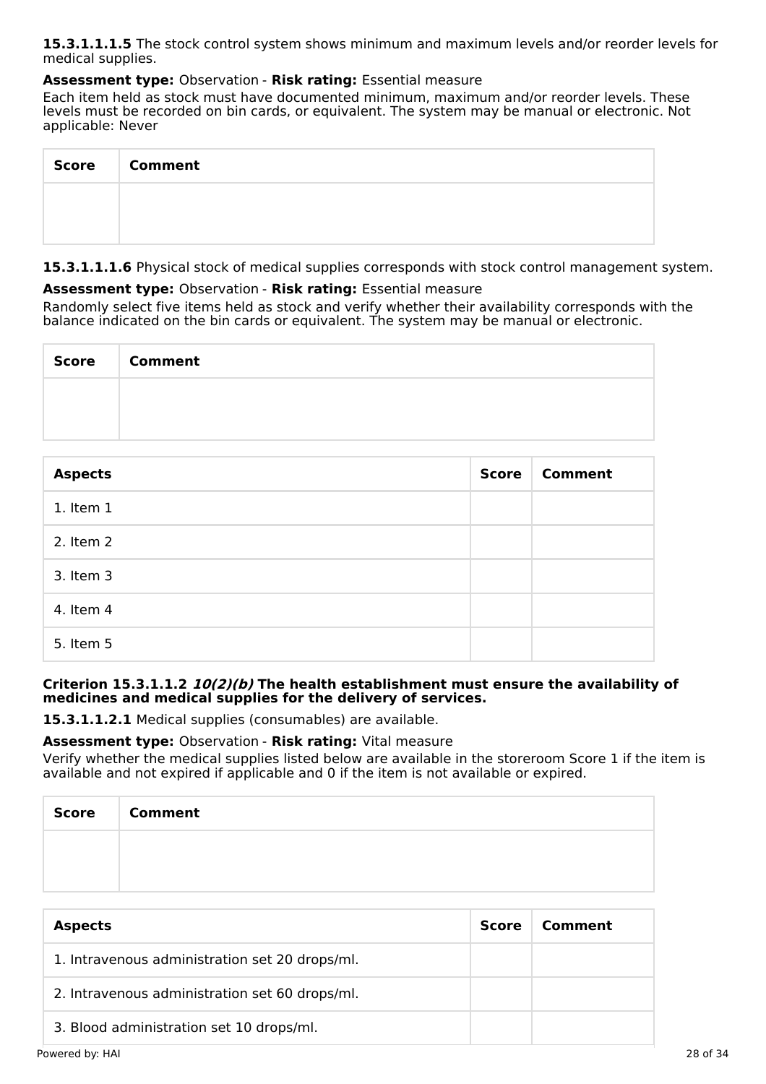**15.3.1.1.1.5** The stock control system shows minimum and maximum levels and/or reorder levels for medical supplies.

# **Assessment type:** Observation - **Risk rating:** Essential measure

Each item held as stock must have documented minimum, maximum and/or reorder levels. These levels must be recorded on bin cards, or equivalent. The system may be manual or electronic. Not applicable: Never

| Score   Comment |
|-----------------|
|                 |
|                 |

**15.3.1.1.1.6** Physical stock of medical supplies corresponds with stock control management system.

# **Assessment type:** Observation - **Risk rating:** Essential measure

Randomly select five items held as stock and verify whether their availability corresponds with the balance indicated on the bin cards or equivalent. The system may be manual or electronic.

| <b>Score</b> | <b>Comment</b> |
|--------------|----------------|
|              |                |
|              |                |

| <b>Aspects</b> | <b>Score</b> | <b>Comment</b> |
|----------------|--------------|----------------|
| 1. Item 1      |              |                |
| 2. Item 2      |              |                |
| 3. Item 3      |              |                |
| 4. Item 4      |              |                |
| 5. Item 5      |              |                |

# **Criterion 15.3.1.1.2 10(2)(b) The health establishment must ensure the availability of medicines and medical supplies for the delivery of services.**

**15.3.1.1.2.1** Medical supplies (consumables) are available.

# **Assessment type:** Observation - **Risk rating:** Vital measure

Verify whether the medical supplies listed below are available in the storeroom Score 1 if the item is available and not expired if applicable and 0 if the item is not available or expired.

| Score | <b>Comment</b> |
|-------|----------------|
|       |                |
|       |                |

| <b>Aspects</b>                                 | <b>Score</b> | Comment |
|------------------------------------------------|--------------|---------|
| 1. Intravenous administration set 20 drops/ml. |              |         |
| 2. Intravenous administration set 60 drops/ml. |              |         |
| 3. Blood administration set 10 drops/ml.       |              |         |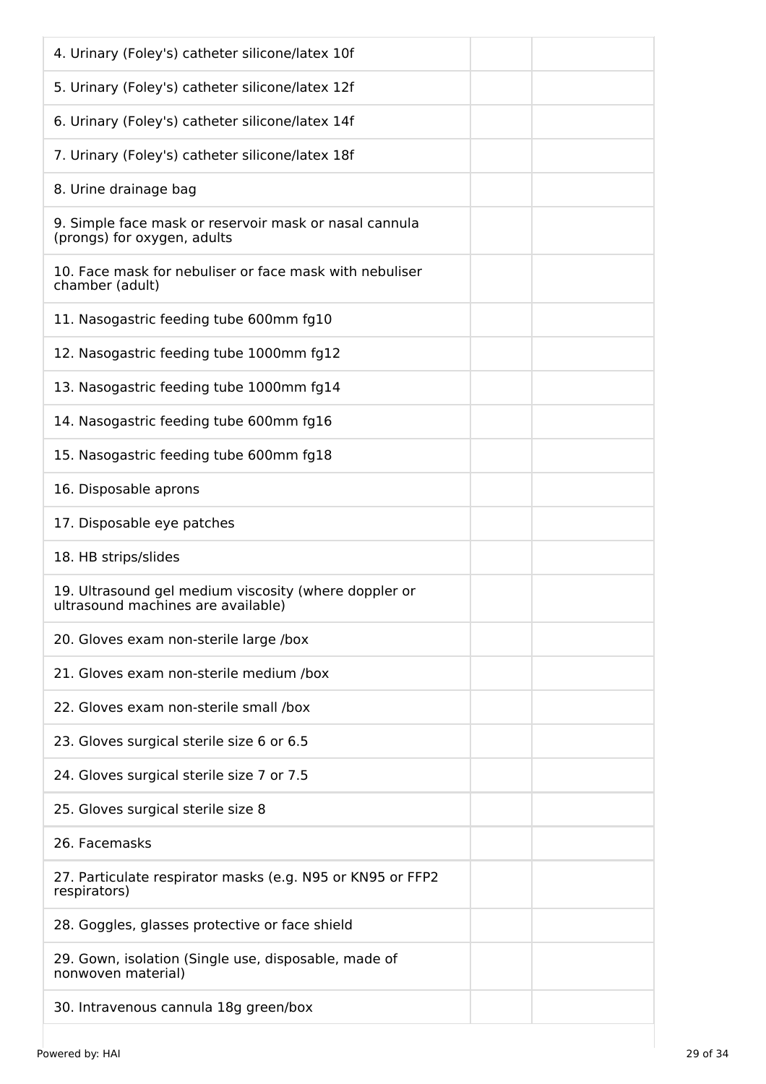| 4. Urinary (Foley's) catheter silicone/latex 10f                                            |
|---------------------------------------------------------------------------------------------|
| 5. Urinary (Foley's) catheter silicone/latex 12f                                            |
| 6. Urinary (Foley's) catheter silicone/latex 14f                                            |
| 7. Urinary (Foley's) catheter silicone/latex 18f                                            |
| 8. Urine drainage bag                                                                       |
| 9. Simple face mask or reservoir mask or nasal cannula<br>(prongs) for oxygen, adults       |
| 10. Face mask for nebuliser or face mask with nebuliser<br>chamber (adult)                  |
| 11. Nasogastric feeding tube 600mm fg10                                                     |
| 12. Nasogastric feeding tube 1000mm fg12                                                    |
| 13. Nasogastric feeding tube 1000mm fg14                                                    |
| 14. Nasogastric feeding tube 600mm fg16                                                     |
| 15. Nasogastric feeding tube 600mm fg18                                                     |
| 16. Disposable aprons                                                                       |
| 17. Disposable eye patches                                                                  |
| 18. HB strips/slides                                                                        |
| 19. Ultrasound gel medium viscosity (where doppler or<br>ultrasound machines are available) |
| 20. Gloves exam non-sterile large /box                                                      |
| 21. Gloves exam non-sterile medium /box                                                     |
| 22. Gloves exam non-sterile small /box                                                      |
| 23. Gloves surgical sterile size 6 or 6.5                                                   |
| 24. Gloves surgical sterile size 7 or 7.5                                                   |
| 25. Gloves surgical sterile size 8                                                          |
| 26. Facemasks                                                                               |
| 27. Particulate respirator masks (e.g. N95 or KN95 or FFP2<br>respirators)                  |
| 28. Goggles, glasses protective or face shield                                              |
| 29. Gown, isolation (Single use, disposable, made of<br>nonwoven material)                  |
| 30. Intravenous cannula 18g green/box                                                       |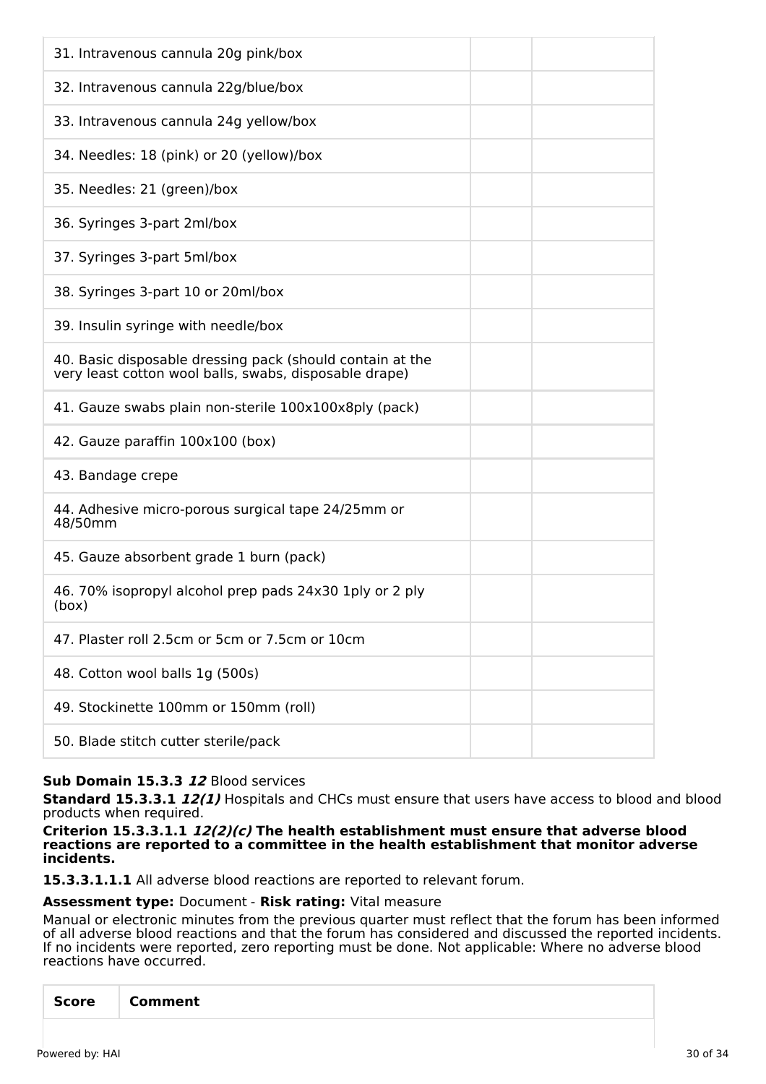| 31. Intravenous cannula 20g pink/box                                                                                |
|---------------------------------------------------------------------------------------------------------------------|
| 32. Intravenous cannula 22g/blue/box                                                                                |
| 33. Intravenous cannula 24g yellow/box                                                                              |
| 34. Needles: 18 (pink) or 20 (yellow)/box                                                                           |
| 35. Needles: 21 (green)/box                                                                                         |
| 36. Syringes 3-part 2ml/box                                                                                         |
| 37. Syringes 3-part 5ml/box                                                                                         |
| 38. Syringes 3-part 10 or 20ml/box                                                                                  |
| 39. Insulin syringe with needle/box                                                                                 |
| 40. Basic disposable dressing pack (should contain at the<br>very least cotton wool balls, swabs, disposable drape) |
| 41. Gauze swabs plain non-sterile 100x100x8ply (pack)                                                               |
| 42. Gauze paraffin 100x100 (box)                                                                                    |
| 43. Bandage crepe                                                                                                   |
| 44. Adhesive micro-porous surgical tape 24/25mm or<br>48/50mm                                                       |
| 45. Gauze absorbent grade 1 burn (pack)                                                                             |
| 46.70% isopropyl alcohol prep pads 24x30 1ply or 2 ply<br>(box)                                                     |
| 47. Plaster roll 2.5cm or 5cm or 7.5cm or 10cm                                                                      |
| 48. Cotton wool balls 1g (500s)                                                                                     |
| 49. Stockinette 100mm or 150mm (roll)                                                                               |
| 50. Blade stitch cutter sterile/pack                                                                                |

# **Sub Domain 15.3.3 12** Blood services

**Standard 15.3.3.1 12(1)** Hospitals and CHCs must ensure that users have access to blood and blood products when required.

#### **Criterion 15.3.3.1.1 12(2)(c) The health establishment must ensure that adverse blood reactions are reported to a committee in the health establishment that monitor adverse incidents.**

**15.3.3.1.1.1** All adverse blood reactions are reported to relevant forum.

### **Assessment type:** Document - **Risk rating:** Vital measure

Manual or electronic minutes from the previous quarter must reflect that the forum has been informed of all adverse blood reactions and that the forum has considered and discussed the reported incidents. If no incidents were reported, zero reporting must be done. Not applicable: Where no adverse blood reactions have occurred.

|--|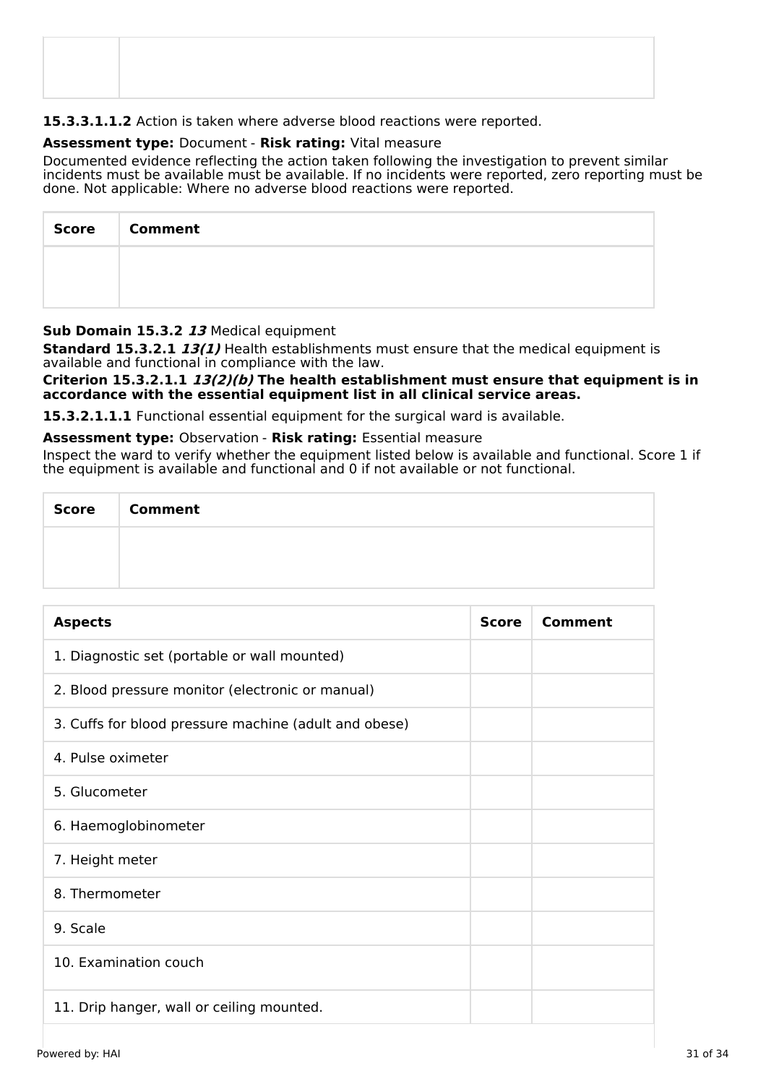# **15.3.3.1.1.2** Action is taken where adverse blood reactions were reported.

# **Assessment type:** Document - **Risk rating:** Vital measure

Documented evidence reflecting the action taken following the investigation to prevent similar incidents must be available must be available. If no incidents were reported, zero reporting must be done. Not applicable: Where no adverse blood reactions were reported.

| <b>Score</b> | <b>Comment</b> |
|--------------|----------------|
|              |                |
|              |                |

# **Sub Domain 15.3.2 13** Medical equipment

**Standard 15.3.2.1 13(1)** Health establishments must ensure that the medical equipment is available and functional in compliance with the law.

**Criterion 15.3.2.1.1 13(2)(b) The health establishment must ensure that equipment is in accordance with the essential equipment list in all clinical service areas.**

**15.3.2.1.1.1** Functional essential equipment for the surgical ward is available.

**Assessment type:** Observation - **Risk rating:** Essential measure

Inspect the ward to verify whether the equipment listed below is available and functional. Score 1 if the equipment is available and functional and 0 if not available or not functional.

| Score | <b>Comment</b> |  |  |
|-------|----------------|--|--|
|       |                |  |  |
|       |                |  |  |

| <b>Aspects</b>                                        | <b>Score</b> | Comment |
|-------------------------------------------------------|--------------|---------|
| 1. Diagnostic set (portable or wall mounted)          |              |         |
| 2. Blood pressure monitor (electronic or manual)      |              |         |
| 3. Cuffs for blood pressure machine (adult and obese) |              |         |
| 4. Pulse oximeter                                     |              |         |
| 5. Glucometer                                         |              |         |
| 6. Haemoglobinometer                                  |              |         |
| 7. Height meter                                       |              |         |
| 8. Thermometer                                        |              |         |
| 9. Scale                                              |              |         |
| 10. Examination couch                                 |              |         |
| 11. Drip hanger, wall or ceiling mounted.             |              |         |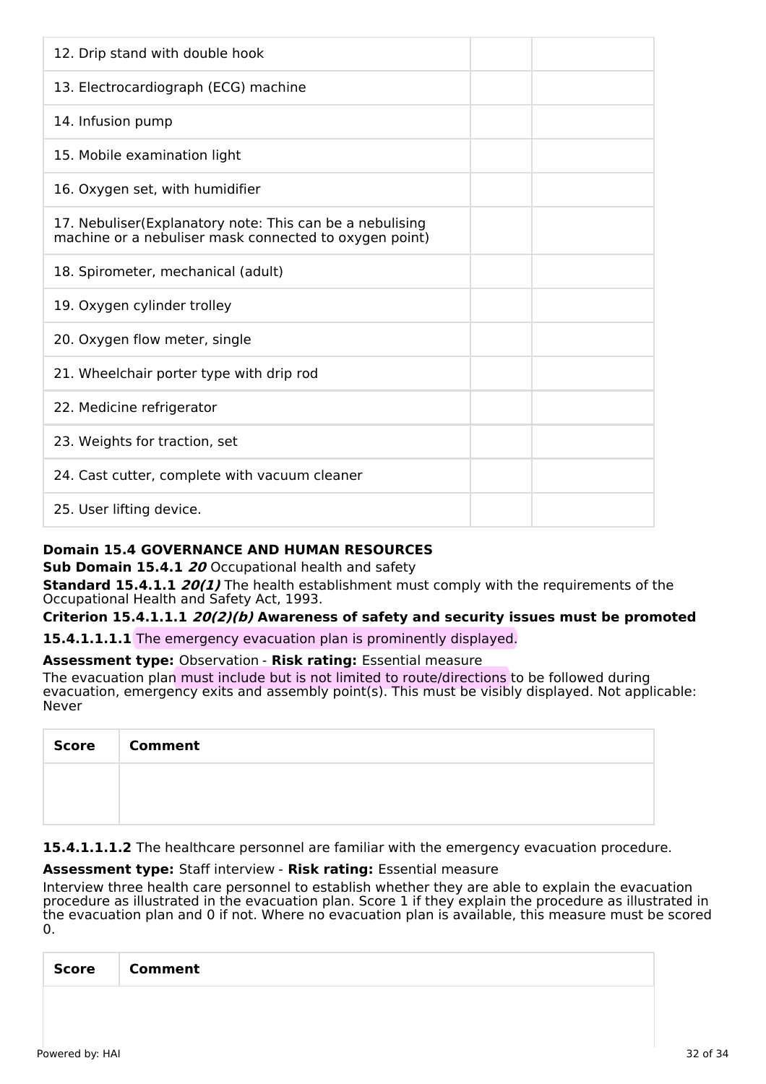| 12. Drip stand with double hook                                                                                    |  |
|--------------------------------------------------------------------------------------------------------------------|--|
| 13. Electrocardiograph (ECG) machine                                                                               |  |
| 14. Infusion pump                                                                                                  |  |
| 15. Mobile examination light                                                                                       |  |
| 16. Oxygen set, with humidifier                                                                                    |  |
| 17. Nebuliser(Explanatory note: This can be a nebulising<br>machine or a nebuliser mask connected to oxygen point) |  |
| 18. Spirometer, mechanical (adult)                                                                                 |  |
| 19. Oxygen cylinder trolley                                                                                        |  |
| 20. Oxygen flow meter, single                                                                                      |  |
| 21. Wheelchair porter type with drip rod                                                                           |  |
| 22. Medicine refrigerator                                                                                          |  |
| 23. Weights for traction, set                                                                                      |  |
| 24. Cast cutter, complete with vacuum cleaner                                                                      |  |
| 25. User lifting device.                                                                                           |  |

# **Domain 15.4 GOVERNANCE AND HUMAN RESOURCES**

**Sub Domain 15.4.1 20** Occupational health and safety

**Standard 15.4.1.1** *20(1)* The health establishment must comply with the requirements of the Occupational Health and Safety Act, 1993.

### **Criterion 15.4.1.1.1 20(2)(b) Awareness of safety and security issues must be promoted**

**15.4.1.1.1.1** The emergency evacuation plan is prominently displayed.

### **Assessment type:** Observation - **Risk rating:** Essential measure

The evacuation plan must include but is not limited to route/directions to be followed during evacuation, emergency exits and assembly point(s). This must be visibly displayed. Not applicable: Never

| Score   Comment |
|-----------------|
|                 |
|                 |

15.4.1.1.1.2 The healthcare personnel are familiar with the emergency evacuation procedure.

### **Assessment type:** Staff interview - **Risk rating:** Essential measure

Interview three health care personnel to establish whether they are able to explain the evacuation procedure as illustrated in the evacuation plan. Score 1 if they explain the procedure as illustrated in the evacuation plan and 0 if not. Where no evacuation plan is available, this measure must be scored  $\Omega$ .

| Score | Comment |
|-------|---------|
|       |         |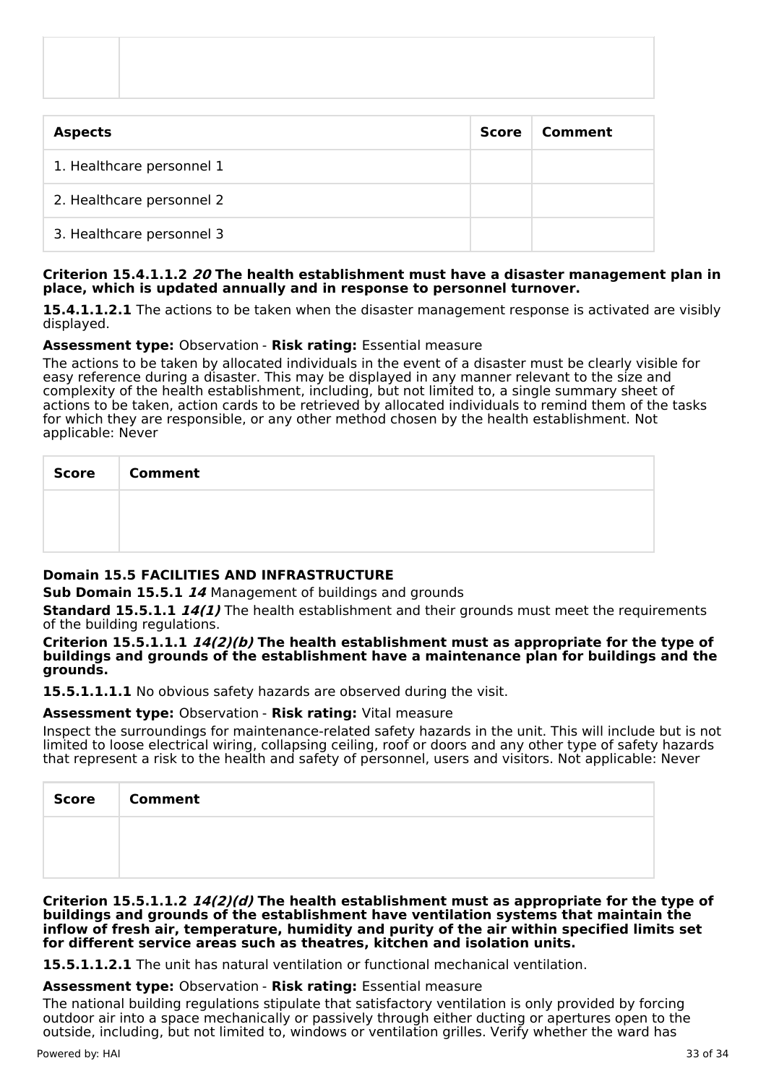| <b>Aspects</b>            | <b>Score</b> | Comment |
|---------------------------|--------------|---------|
| 1. Healthcare personnel 1 |              |         |
| 2. Healthcare personnel 2 |              |         |
| 3. Healthcare personnel 3 |              |         |

### **Criterion 15.4.1.1.2 20 The health establishment must have a disaster management plan in place, which is updated annually and in response to personnel turnover.**

**15.4.1.1.2.1** The actions to be taken when the disaster management response is activated are visibly displayed.

### **Assessment type:** Observation - **Risk rating:** Essential measure

The actions to be taken by allocated individuals in the event of a disaster must be clearly visible for easy reference during a disaster. This may be displayed in any manner relevant to the size and complexity of the health establishment, including, but not limited to, a single summary sheet of actions to be taken, action cards to be retrieved by allocated individuals to remind them of the tasks for which they are responsible, or any other method chosen by the health establishment. Not applicable: Never

| Score   Comment |
|-----------------|
|                 |
|                 |

### **Domain 15.5 FACILITIES AND INFRASTRUCTURE**

**Sub Domain 15.5.1 14** Management of buildings and grounds

**Standard 15.5.1.1 14(1)** The health establishment and their grounds must meet the requirements of the building regulations.

**Criterion 15.5.1.1.1 14(2)(b) The health establishment must as appropriate for the type of buildings and grounds of the establishment have a maintenance plan for buildings and the grounds.**

**15.5.1.1.1.1** No obvious safety hazards are observed during the visit.

### **Assessment type:** Observation - **Risk rating:** Vital measure

Inspect the surroundings for maintenance-related safety hazards in the unit. This will include but is not limited to loose electrical wiring, collapsing ceiling, roof or doors and any other type of safety hazards that represent a risk to the health and safety of personnel, users and visitors. Not applicable: Never

| <b>Score</b> | <b>Comment</b> |
|--------------|----------------|
|              |                |
|              |                |

**Criterion 15.5.1.1.2 14(2)(d) The health establishment must as appropriate for the type of buildings and grounds of the establishment have ventilation systems that maintain the inflow of fresh air, temperature, humidity and purity of the air within specified limits set for different service areas such as theatres, kitchen and isolation units.**

**15.5.1.1.2.1** The unit has natural ventilation or functional mechanical ventilation.

### **Assessment type:** Observation - **Risk rating:** Essential measure

The national building regulations stipulate that satisfactory ventilation is only provided by forcing outdoor air into a space mechanically or passively through either ducting or apertures open to the outside, including, but not limited to, windows or ventilation grilles. Verify whether the ward has